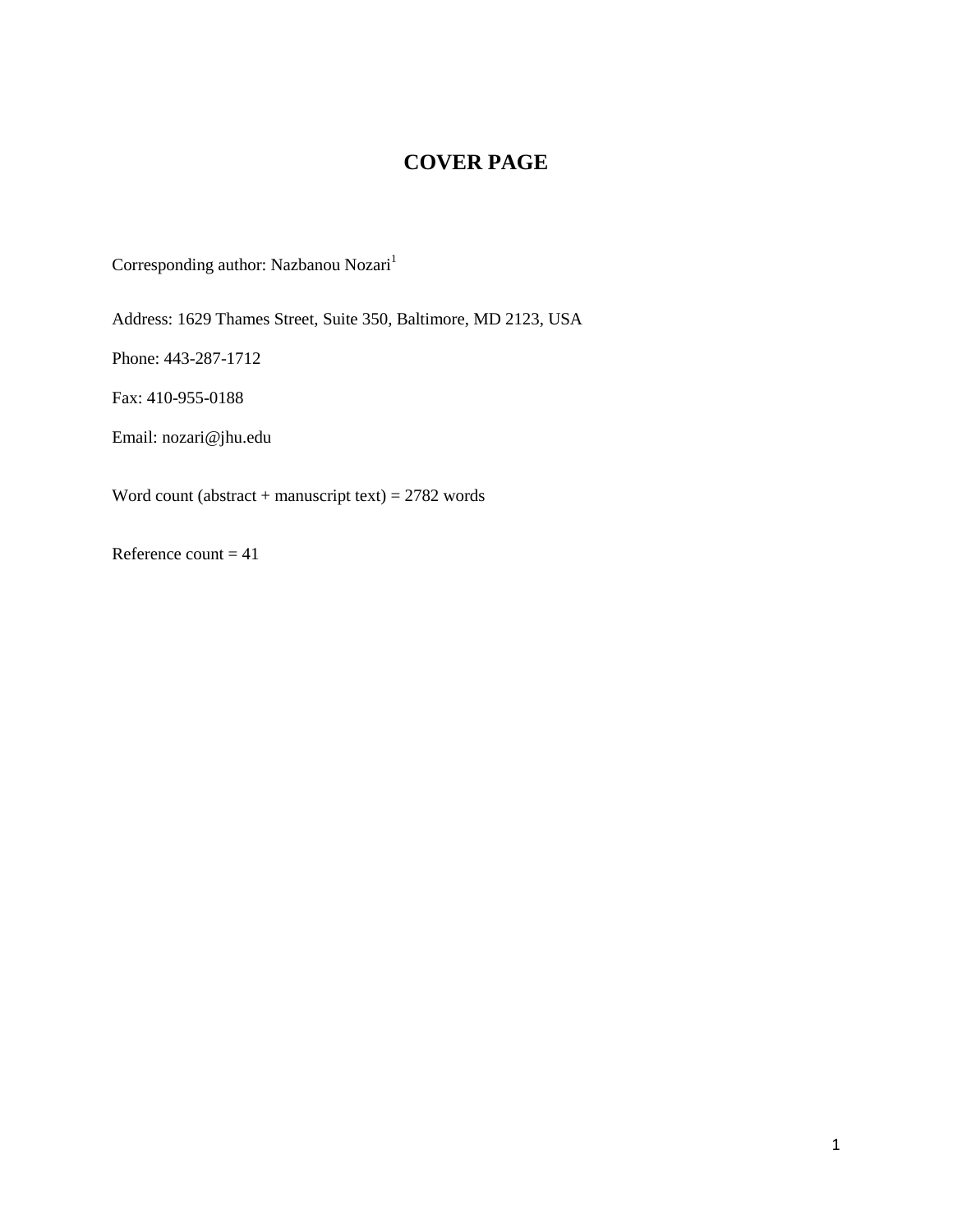# **COVER PAGE**

Corresponding author: Nazbanou $\rm Nozari^1$ 

Address: 1629 Thames Street, Suite 350, Baltimore, MD 2123, USA

Phone: 443-287-1712

Fax: 410-955-0188

Email: nozari@jhu.edu

Word count (abstract + manuscript text) =  $2782$  words

Reference count  $= 41$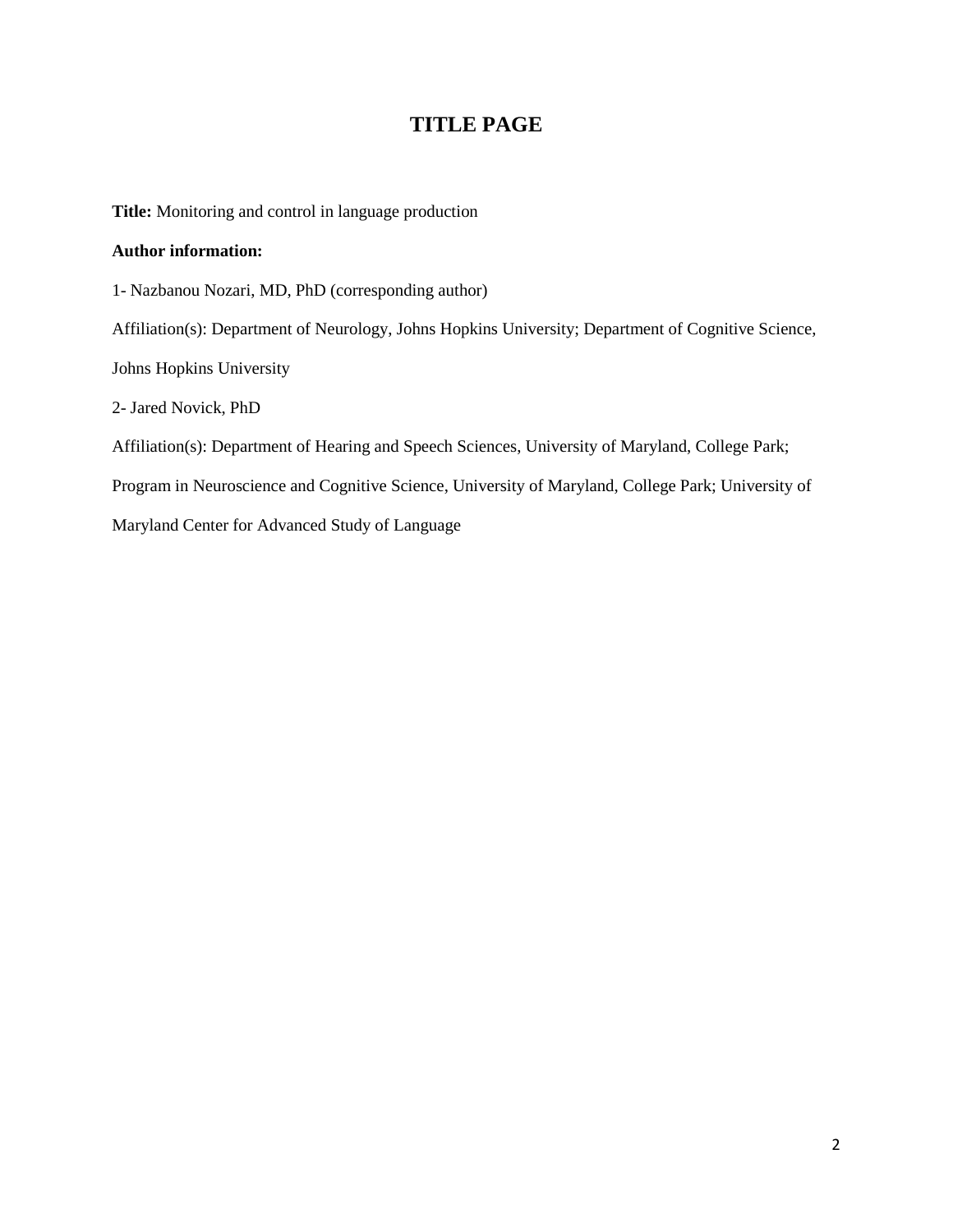# **TITLE PAGE**

**Title:** Monitoring and control in language production

### **Author information:**

1- Nazbanou Nozari, MD, PhD (corresponding author)

Affiliation(s): Department of Neurology, Johns Hopkins University; Department of Cognitive Science,

Johns Hopkins University

2- Jared Novick, PhD

Affiliation(s): Department of Hearing and Speech Sciences, University of Maryland, College Park;

Program in Neuroscience and Cognitive Science, University of Maryland, College Park; University of

Maryland Center for Advanced Study of Language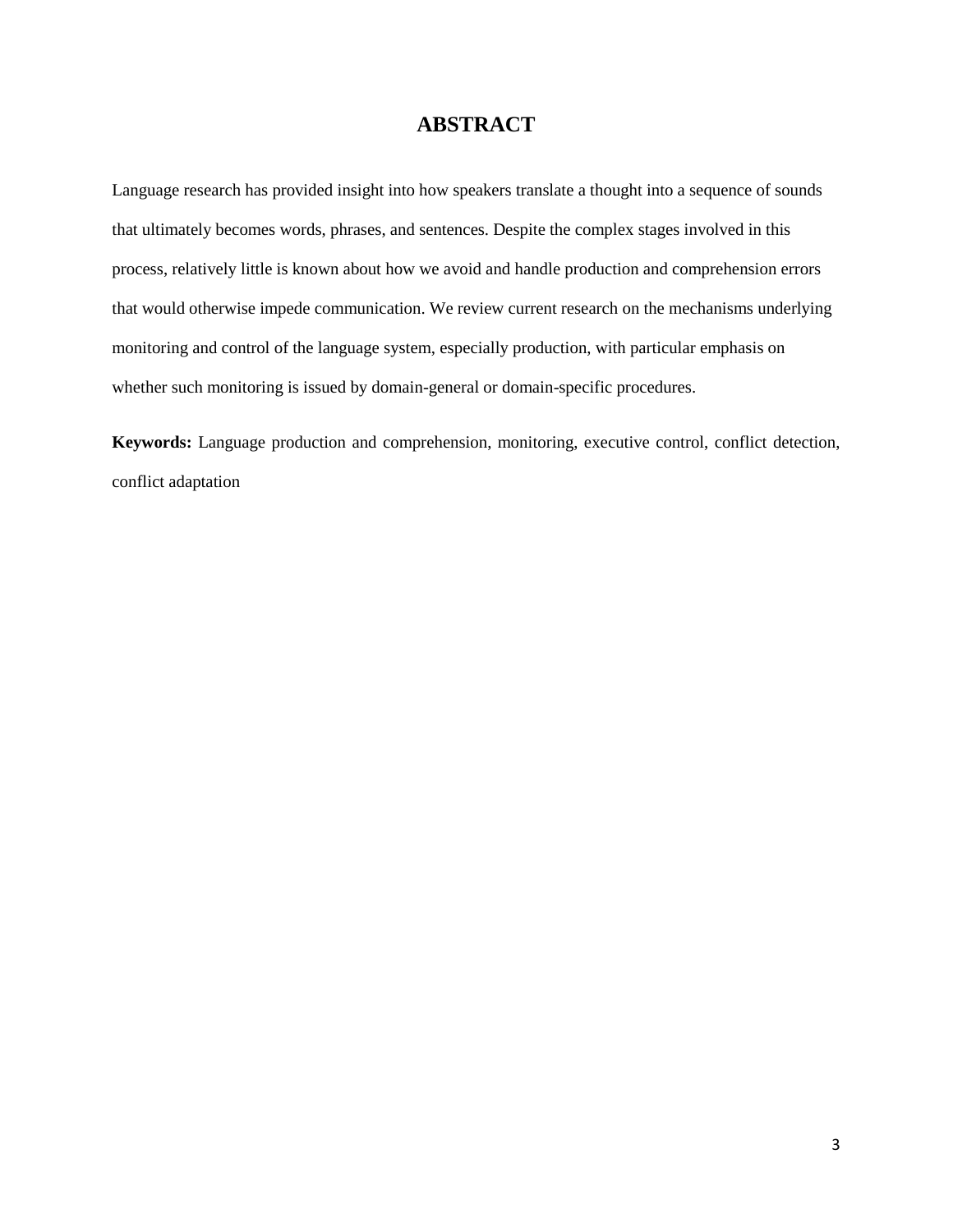# **ABSTRACT**

Language research has provided insight into how speakers translate a thought into a sequence of sounds that ultimately becomes words, phrases, and sentences. Despite the complex stages involved in this process, relatively little is known about how we avoid and handle production and comprehension errors that would otherwise impede communication. We review current research on the mechanisms underlying monitoring and control of the language system, especially production, with particular emphasis on whether such monitoring is issued by domain-general or domain-specific procedures.

**Keywords:** Language production and comprehension, monitoring, executive control, conflict detection, conflict adaptation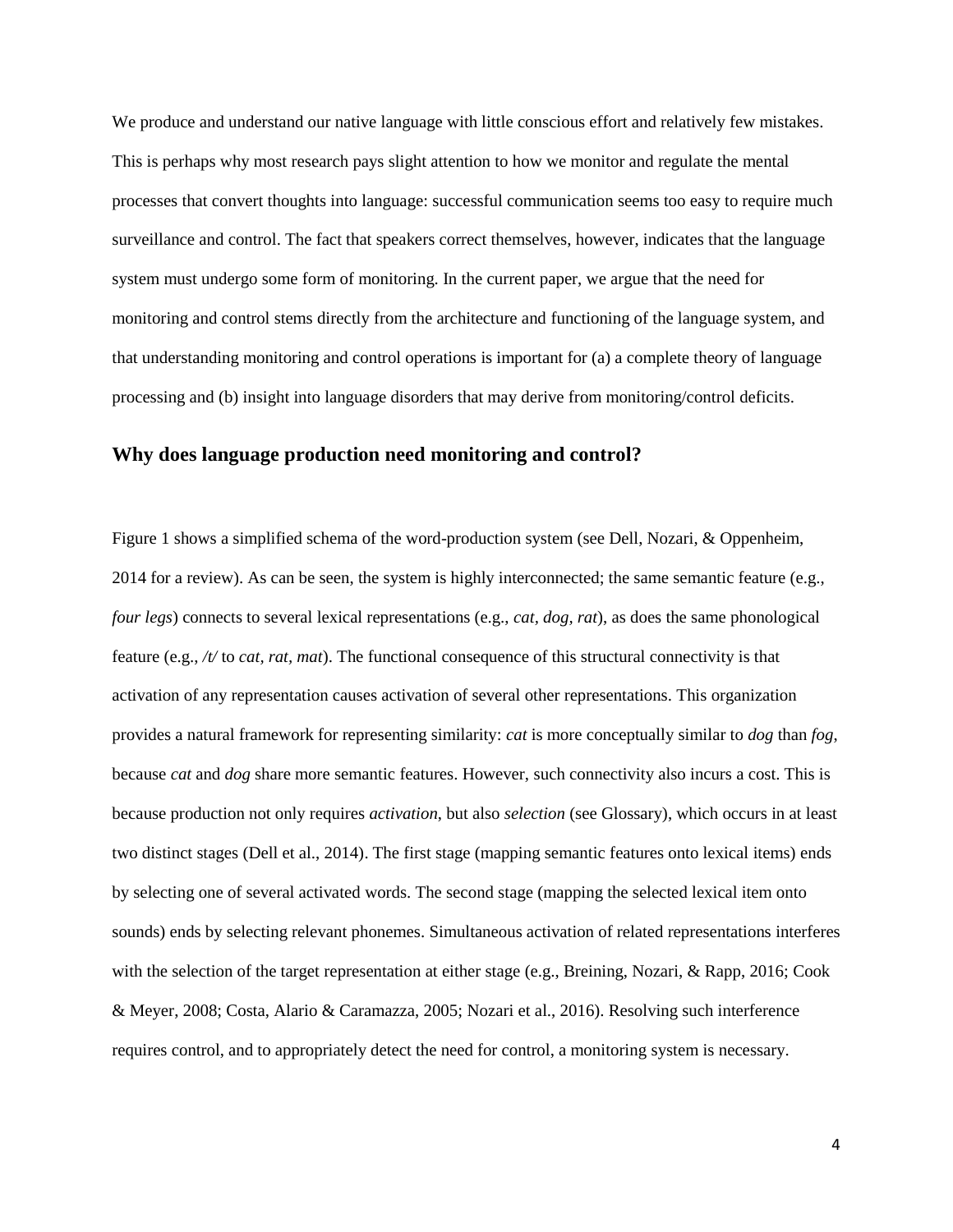We produce and understand our native language with little conscious effort and relatively few mistakes. This is perhaps why most research pays slight attention to how we monitor and regulate the mental processes that convert thoughts into language: successful communication seems too easy to require much surveillance and control. The fact that speakers correct themselves, however, indicates that the language system must undergo some form of monitoring. In the current paper, we argue that the need for monitoring and control stems directly from the architecture and functioning of the language system, and that understanding monitoring and control operations is important for (a) a complete theory of language processing and (b) insight into language disorders that may derive from monitoring/control deficits.

### **Why does language production need monitoring and control?**

Figure 1 shows a simplified schema of the word-production system (see Dell, Nozari, & Oppenheim, 2014 for a review). As can be seen, the system is highly interconnected; the same semantic feature (e.g., *four legs*) connects to several lexical representations (e.g., *cat, dog, rat*), as does the same phonological feature (e.g., */t/* to *cat, rat, mat*). The functional consequence of this structural connectivity is that activation of any representation causes activation of several other representations. This organization provides a natural framework for representing similarity: *cat* is more conceptually similar to *dog* than *fog*, because *cat* and *dog* share more semantic features. However, such connectivity also incurs a cost. This is because production not only requires *activation*, but also *selection* (see Glossary), which occurs in at least two distinct stages (Dell et al., 2014). The first stage (mapping semantic features onto lexical items) ends by selecting one of several activated words. The second stage (mapping the selected lexical item onto sounds) ends by selecting relevant phonemes. Simultaneous activation of related representations interferes with the selection of the target representation at either stage (e.g., Breining, Nozari, & Rapp, 2016; Cook & Meyer, 2008; Costa, Alario & Caramazza, 2005; Nozari et al., 2016). Resolving such interference requires control, and to appropriately detect the need for control, a monitoring system is necessary.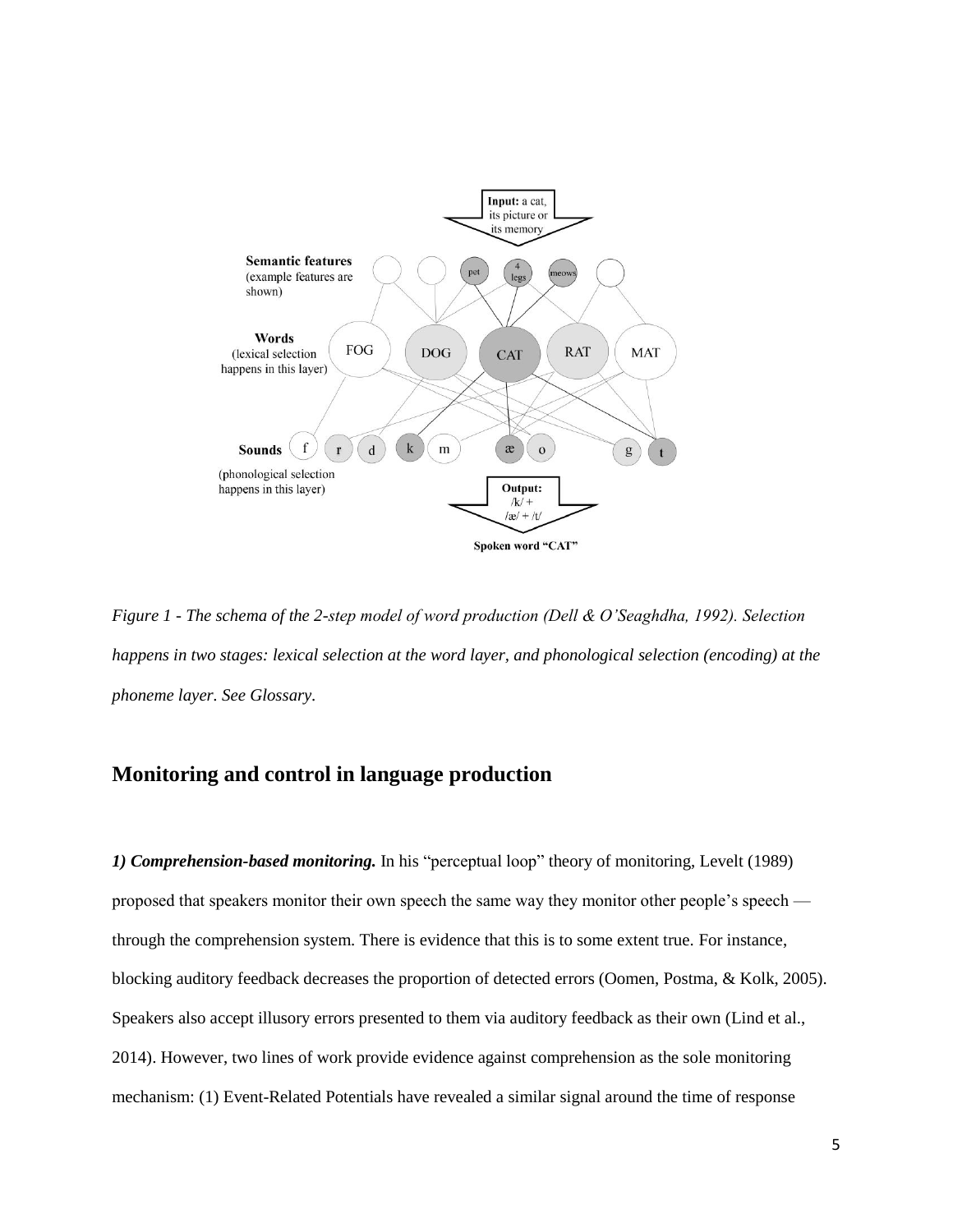

*Figure 1 - The schema of the 2-step model of word production (Dell & O'Seaghdha, 1992). Selection happens in two stages: lexical selection at the word layer, and phonological selection (encoding) at the phoneme layer. See Glossary.*

## **Monitoring and control in language production**

*1) Comprehension-based monitoring.* In his "perceptual loop" theory of monitoring, Levelt (1989) proposed that speakers monitor their own speech the same way they monitor other people's speech through the comprehension system. There is evidence that this is to some extent true. For instance, blocking auditory feedback decreases the proportion of detected errors (Oomen, Postma, & Kolk, 2005). Speakers also accept illusory errors presented to them via auditory feedback as their own (Lind et al., 2014). However, two lines of work provide evidence against comprehension as the sole monitoring mechanism: (1) Event-Related Potentials have revealed a similar signal around the time of response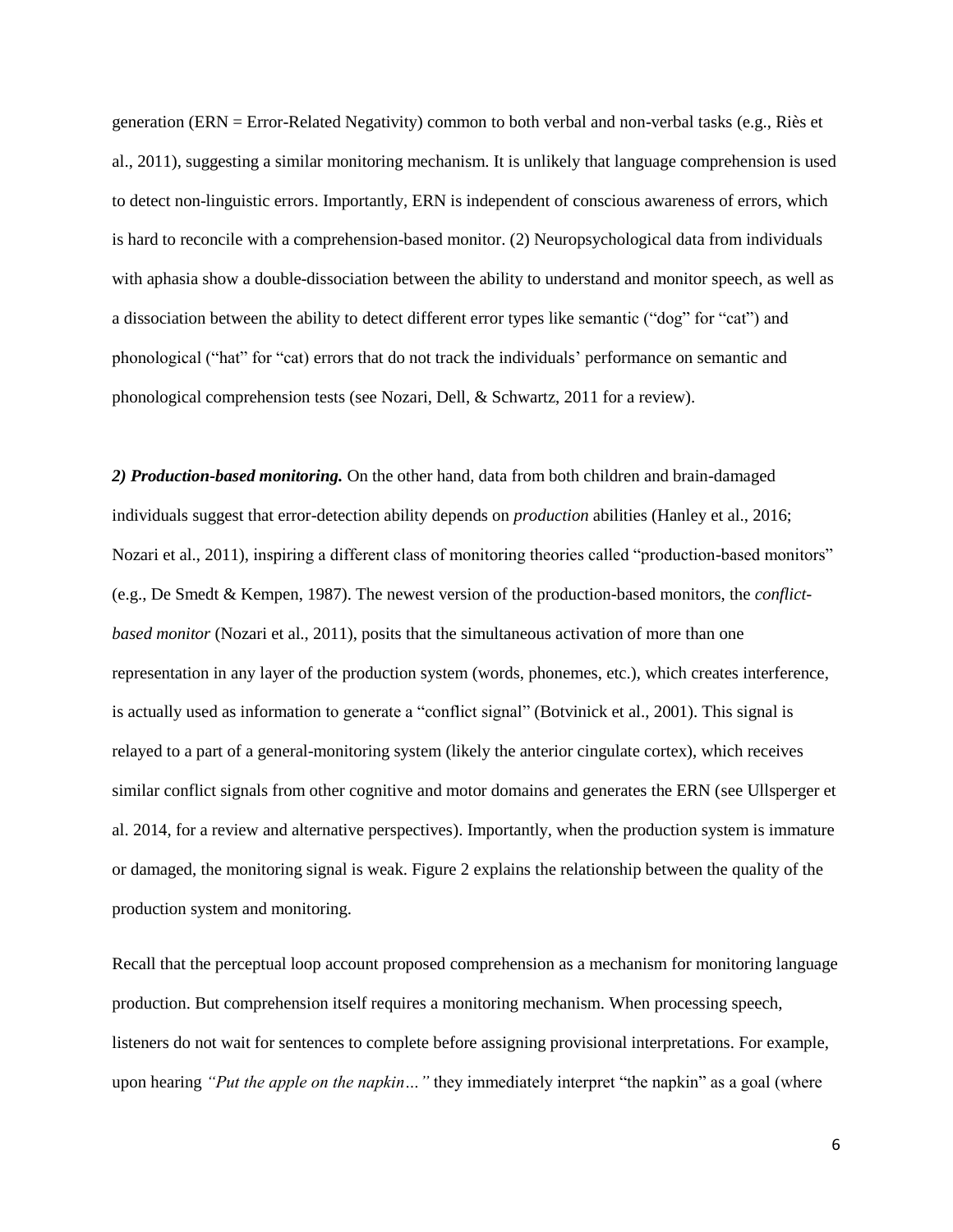generation (ERN = Error-Related Negativity) common to both verbal and non-verbal tasks (e.g., Riès et al., 2011), suggesting a similar monitoring mechanism. It is unlikely that language comprehension is used to detect non-linguistic errors. Importantly, ERN is independent of conscious awareness of errors, which is hard to reconcile with a comprehension-based monitor. (2) Neuropsychological data from individuals with aphasia show a double-dissociation between the ability to understand and monitor speech, as well as a dissociation between the ability to detect different error types like semantic ("dog" for "cat") and phonological ("hat" for "cat) errors that do not track the individuals' performance on semantic and phonological comprehension tests (see Nozari, Dell, & Schwartz, 2011 for a review).

*2) Production-based monitoring.* On the other hand, data from both children and brain-damaged individuals suggest that error-detection ability depends on *production* abilities (Hanley et al., 2016; Nozari et al., 2011), inspiring a different class of monitoring theories called "production-based monitors" (e.g., De Smedt & Kempen, 1987). The newest version of the production-based monitors, the *conflictbased monitor* (Nozari et al., 2011), posits that the simultaneous activation of more than one representation in any layer of the production system (words, phonemes, etc.), which creates interference, is actually used as information to generate a "conflict signal" (Botvinick et al., 2001). This signal is relayed to a part of a general-monitoring system (likely the anterior cingulate cortex), which receives similar conflict signals from other cognitive and motor domains and generates the ERN (see Ullsperger et al. 2014, for a review and alternative perspectives). Importantly, when the production system is immature or damaged, the monitoring signal is weak. Figure 2 explains the relationship between the quality of the production system and monitoring.

Recall that the perceptual loop account proposed comprehension as a mechanism for monitoring language production. But comprehension itself requires a monitoring mechanism. When processing speech, listeners do not wait for sentences to complete before assigning provisional interpretations. For example, upon hearing *"Put the apple on the napkin*..." they immediately interpret "the napkin" as a goal (where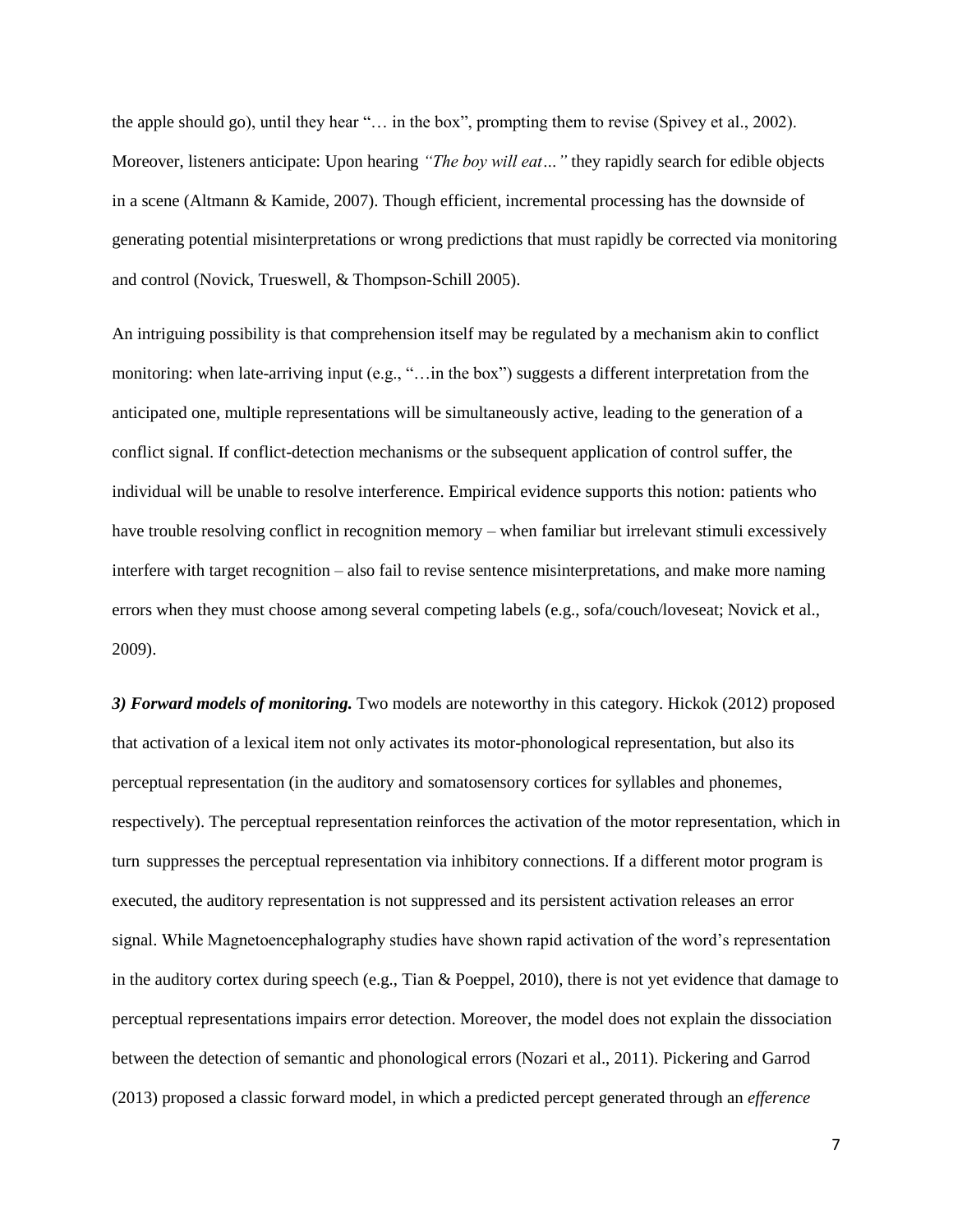the apple should go), until they hear "… in the box", prompting them to revise (Spivey et al., 2002). Moreover, listeners anticipate: Upon hearing *"The boy will eat…"* they rapidly search for edible objects in a scene (Altmann & Kamide, 2007). Though efficient, incremental processing has the downside of generating potential misinterpretations or wrong predictions that must rapidly be corrected via monitoring and control (Novick, Trueswell, & Thompson-Schill 2005).

An intriguing possibility is that comprehension itself may be regulated by a mechanism akin to conflict monitoring: when late-arriving input (e.g., "…in the box") suggests a different interpretation from the anticipated one, multiple representations will be simultaneously active, leading to the generation of a conflict signal. If conflict-detection mechanisms or the subsequent application of control suffer, the individual will be unable to resolve interference. Empirical evidence supports this notion: patients who have trouble resolving conflict in recognition memory – when familiar but irrelevant stimuli excessively interfere with target recognition – also fail to revise sentence misinterpretations, and make more naming errors when they must choose among several competing labels (e.g., sofa/couch/loveseat; Novick et al., 2009).

*3) Forward models of monitoring.* Two models are noteworthy in this category. Hickok (2012) proposed that activation of a lexical item not only activates its motor-phonological representation, but also its perceptual representation (in the auditory and somatosensory cortices for syllables and phonemes, respectively). The perceptual representation reinforces the activation of the motor representation, which in turn suppresses the perceptual representation via inhibitory connections. If a different motor program is executed, the auditory representation is not suppressed and its persistent activation releases an error signal. While Magnetoencephalography studies have shown rapid activation of the word's representation in the auditory cortex during speech (e.g., Tian & Poeppel, 2010), there is not yet evidence that damage to perceptual representations impairs error detection. Moreover, the model does not explain the dissociation between the detection of semantic and phonological errors (Nozari et al., 2011). Pickering and Garrod (2013) proposed a classic forward model, in which a predicted percept generated through an *efference*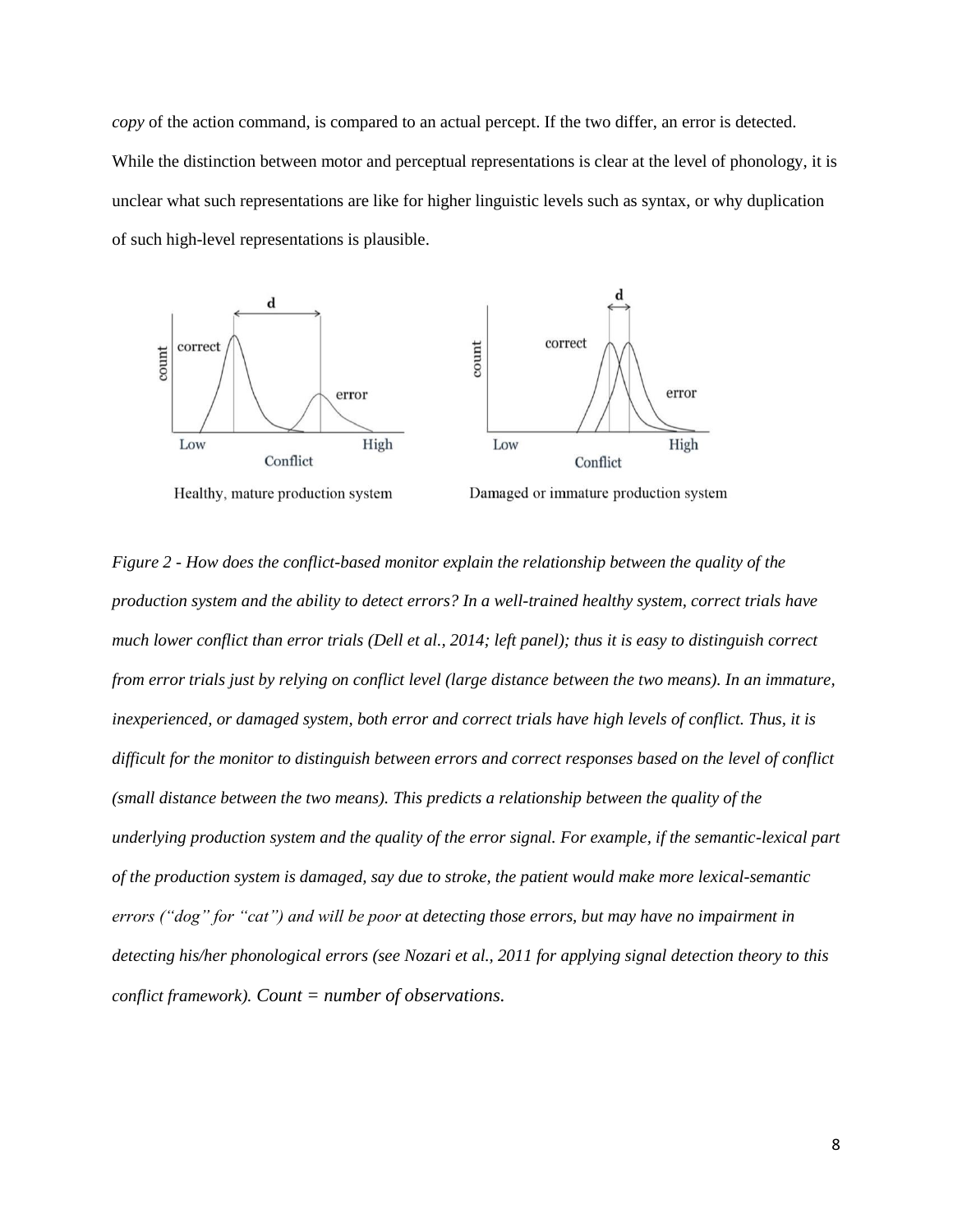*copy* of the action command, is compared to an actual percept. If the two differ, an error is detected. While the distinction between motor and perceptual representations is clear at the level of phonology, it is unclear what such representations are like for higher linguistic levels such as syntax, or why duplication of such high-level representations is plausible.



Healthy, mature production system

Damaged or immature production system

*Figure 2 - How does the conflict-based monitor explain the relationship between the quality of the production system and the ability to detect errors? In a well-trained healthy system, correct trials have much lower conflict than error trials (Dell et al., 2014; left panel); thus it is easy to distinguish correct from error trials just by relying on conflict level (large distance between the two means). In an immature, inexperienced, or damaged system, both error and correct trials have high levels of conflict. Thus, it is difficult for the monitor to distinguish between errors and correct responses based on the level of conflict (small distance between the two means). This predicts a relationship between the quality of the underlying production system and the quality of the error signal. For example, if the semantic-lexical part of the production system is damaged, say due to stroke, the patient would make more lexical-semantic errors ("dog" for "cat") and will be poor at detecting those errors, but may have no impairment in detecting his/her phonological errors (see Nozari et al., 2011 for applying signal detection theory to this conflict framework). Count = number of observations.*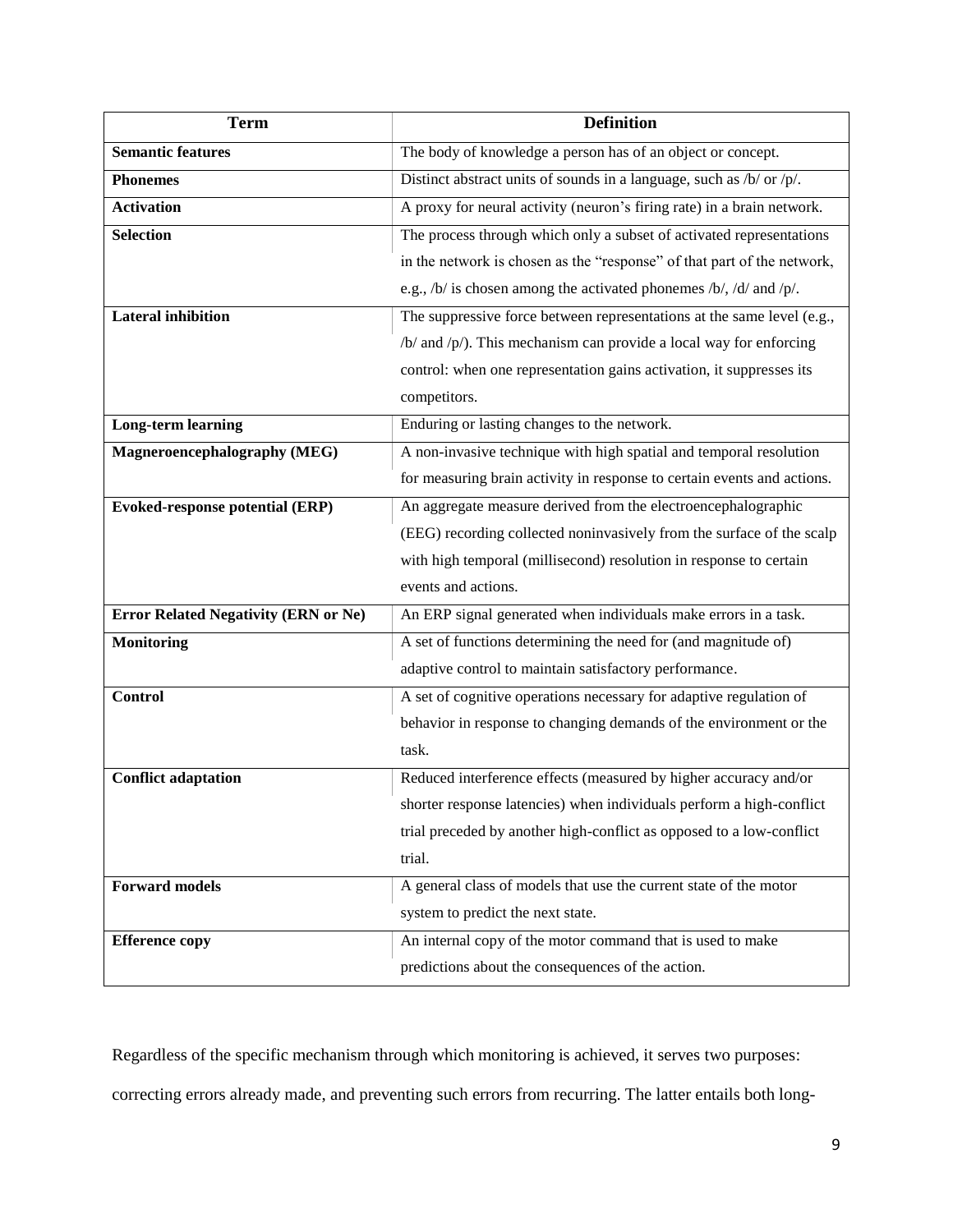| <b>Term</b>                                 | <b>Definition</b>                                                       |
|---------------------------------------------|-------------------------------------------------------------------------|
| <b>Semantic features</b>                    | The body of knowledge a person has of an object or concept.             |
| <b>Phonemes</b>                             | Distinct abstract units of sounds in a language, such as /b/ or /p/.    |
| <b>Activation</b>                           | A proxy for neural activity (neuron's firing rate) in a brain network.  |
| <b>Selection</b>                            | The process through which only a subset of activated representations    |
|                                             | in the network is chosen as the "response" of that part of the network, |
|                                             | e.g., /b/ is chosen among the activated phonemes /b/, /d/ and /p/.      |
| <b>Lateral inhibition</b>                   | The suppressive force between representations at the same level (e.g.,  |
|                                             | $/b/$ and $/p/$ ). This mechanism can provide a local way for enforcing |
|                                             | control: when one representation gains activation, it suppresses its    |
|                                             | competitors.                                                            |
| <b>Long-term learning</b>                   | Enduring or lasting changes to the network.                             |
| Magneroencephalography (MEG)                | A non-invasive technique with high spatial and temporal resolution      |
|                                             | for measuring brain activity in response to certain events and actions. |
| <b>Evoked-response potential (ERP)</b>      | An aggregate measure derived from the electroencephalographic           |
|                                             | (EEG) recording collected noninvasively from the surface of the scalp   |
|                                             | with high temporal (millisecond) resolution in response to certain      |
|                                             | events and actions.                                                     |
| <b>Error Related Negativity (ERN or Ne)</b> | An ERP signal generated when individuals make errors in a task.         |
| <b>Monitoring</b>                           | A set of functions determining the need for (and magnitude of)          |
|                                             | adaptive control to maintain satisfactory performance.                  |
| <b>Control</b>                              | A set of cognitive operations necessary for adaptive regulation of      |
|                                             | behavior in response to changing demands of the environment or the      |
|                                             | task.                                                                   |
| <b>Conflict adaptation</b>                  | Reduced interference effects (measured by higher accuracy and/or        |
|                                             | shorter response latencies) when individuals perform a high-conflict    |
|                                             | trial preceded by another high-conflict as opposed to a low-conflict    |
|                                             | trial.                                                                  |
| <b>Forward models</b>                       | A general class of models that use the current state of the motor       |
|                                             | system to predict the next state.                                       |
| <b>Efference copy</b>                       | An internal copy of the motor command that is used to make              |
|                                             | predictions about the consequences of the action.                       |

Regardless of the specific mechanism through which monitoring is achieved, it serves two purposes:

correcting errors already made, and preventing such errors from recurring. The latter entails both long-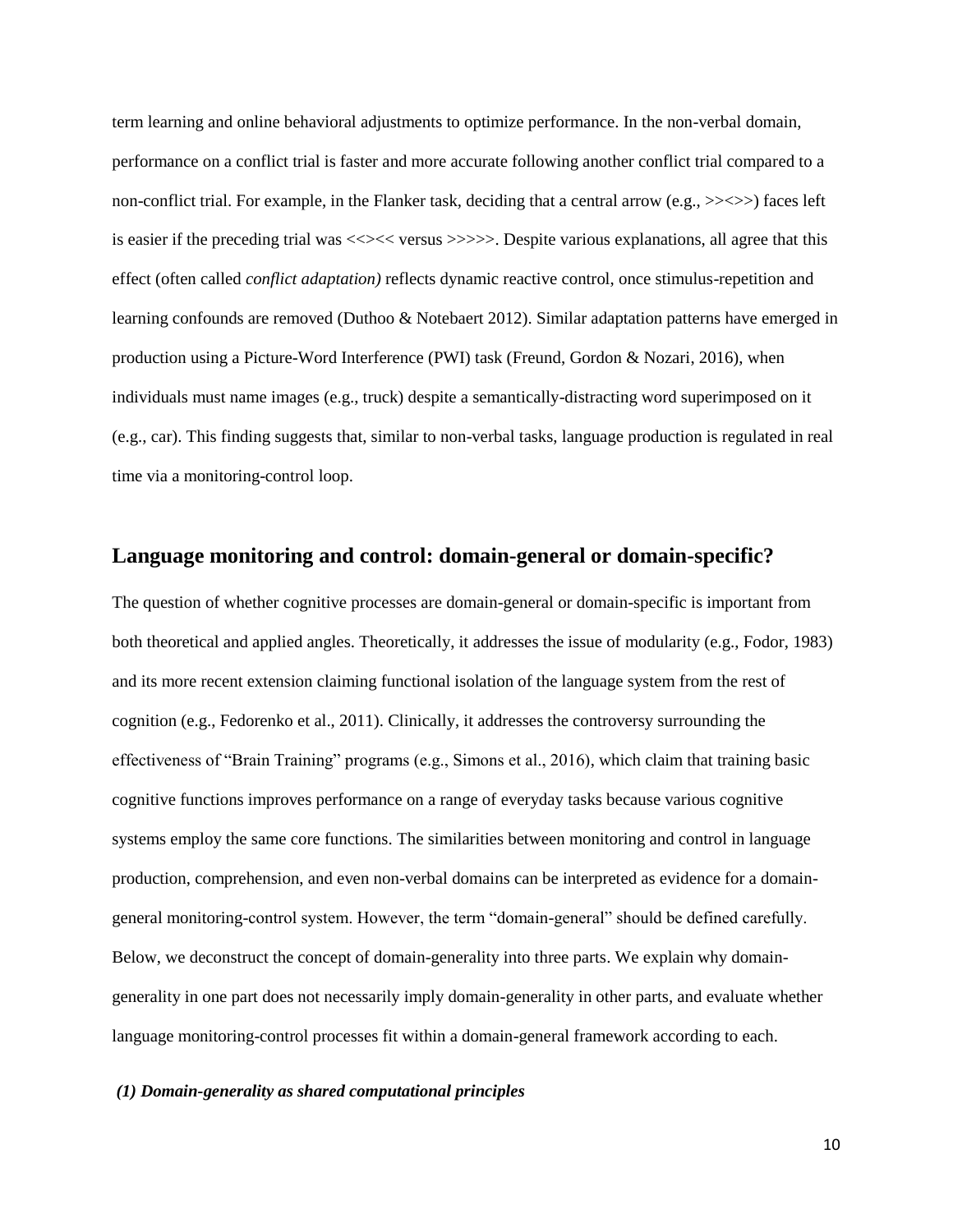term learning and online behavioral adjustments to optimize performance. In the non-verbal domain, performance on a conflict trial is faster and more accurate following another conflict trial compared to a non-conflict trial. For example, in the Flanker task, deciding that a central arrow (e.g., >><>>) faces left is easier if the preceding trial was <<><< versus >>>>>>>. Despite various explanations, all agree that this effect (often called *conflict adaptation)* reflects dynamic reactive control, once stimulus-repetition and learning confounds are removed (Duthoo & Notebaert 2012). Similar adaptation patterns have emerged in production using a Picture-Word Interference (PWI) task (Freund, Gordon & Nozari, 2016), when individuals must name images (e.g., truck) despite a semantically-distracting word superimposed on it (e.g., car). This finding suggests that, similar to non-verbal tasks, language production is regulated in real time via a monitoring-control loop.

## **Language monitoring and control: domain-general or domain-specific?**

The question of whether cognitive processes are domain-general or domain-specific is important from both theoretical and applied angles. Theoretically, it addresses the issue of modularity (e.g., Fodor, 1983) and its more recent extension claiming functional isolation of the language system from the rest of cognition (e.g., Fedorenko et al., 2011). Clinically, it addresses the controversy surrounding the effectiveness of "Brain Training" programs (e.g., Simons et al., 2016), which claim that training basic cognitive functions improves performance on a range of everyday tasks because various cognitive systems employ the same core functions. The similarities between monitoring and control in language production, comprehension, and even non-verbal domains can be interpreted as evidence for a domaingeneral monitoring-control system. However, the term "domain-general" should be defined carefully. Below, we deconstruct the concept of domain-generality into three parts. We explain why domaingenerality in one part does not necessarily imply domain-generality in other parts, and evaluate whether language monitoring-control processes fit within a domain-general framework according to each.

#### *(1) Domain-generality as shared computational principles*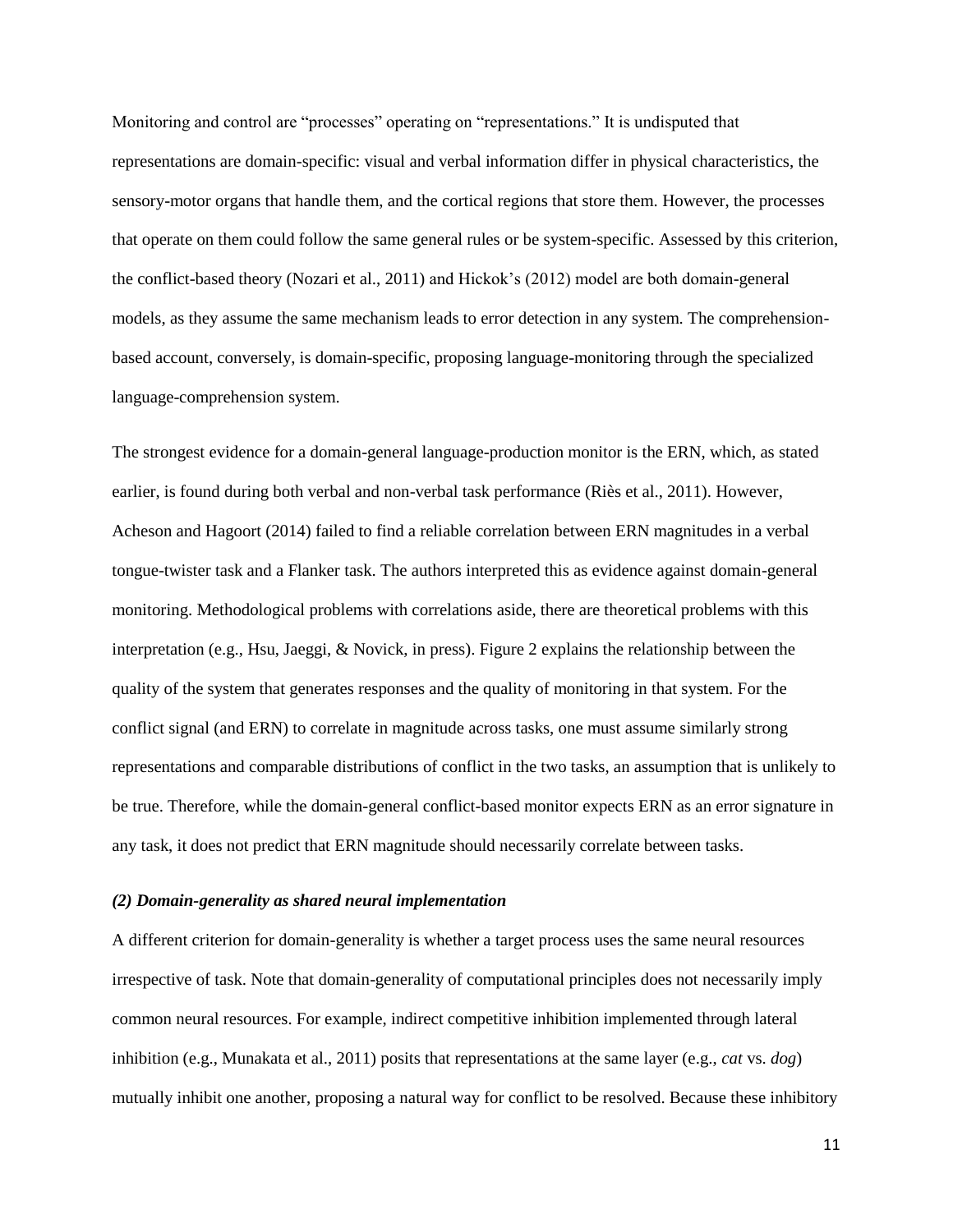Monitoring and control are "processes" operating on "representations." It is undisputed that representations are domain-specific: visual and verbal information differ in physical characteristics, the sensory-motor organs that handle them, and the cortical regions that store them. However, the processes that operate on them could follow the same general rules or be system-specific. Assessed by this criterion, the conflict-based theory (Nozari et al., 2011) and Hickok's (2012) model are both domain-general models, as they assume the same mechanism leads to error detection in any system. The comprehensionbased account, conversely, is domain-specific, proposing language-monitoring through the specialized language-comprehension system.

The strongest evidence for a domain-general language-production monitor is the ERN, which, as stated earlier, is found during both verbal and non-verbal task performance (Riès et al., 2011). However, Acheson and Hagoort (2014) failed to find a reliable correlation between ERN magnitudes in a verbal tongue-twister task and a Flanker task. The authors interpreted this as evidence against domain-general monitoring. Methodological problems with correlations aside, there are theoretical problems with this interpretation (e.g., Hsu, Jaeggi, & Novick, in press). Figure 2 explains the relationship between the quality of the system that generates responses and the quality of monitoring in that system. For the conflict signal (and ERN) to correlate in magnitude across tasks, one must assume similarly strong representations and comparable distributions of conflict in the two tasks, an assumption that is unlikely to be true. Therefore, while the domain-general conflict-based monitor expects ERN as an error signature in any task, it does not predict that ERN magnitude should necessarily correlate between tasks.

#### *(2) Domain-generality as shared neural implementation*

A different criterion for domain-generality is whether a target process uses the same neural resources irrespective of task. Note that domain-generality of computational principles does not necessarily imply common neural resources. For example, indirect competitive inhibition implemented through lateral inhibition (e.g., Munakata et al., 2011) posits that representations at the same layer (e.g., *cat* vs. *dog*) mutually inhibit one another, proposing a natural way for conflict to be resolved. Because these inhibitory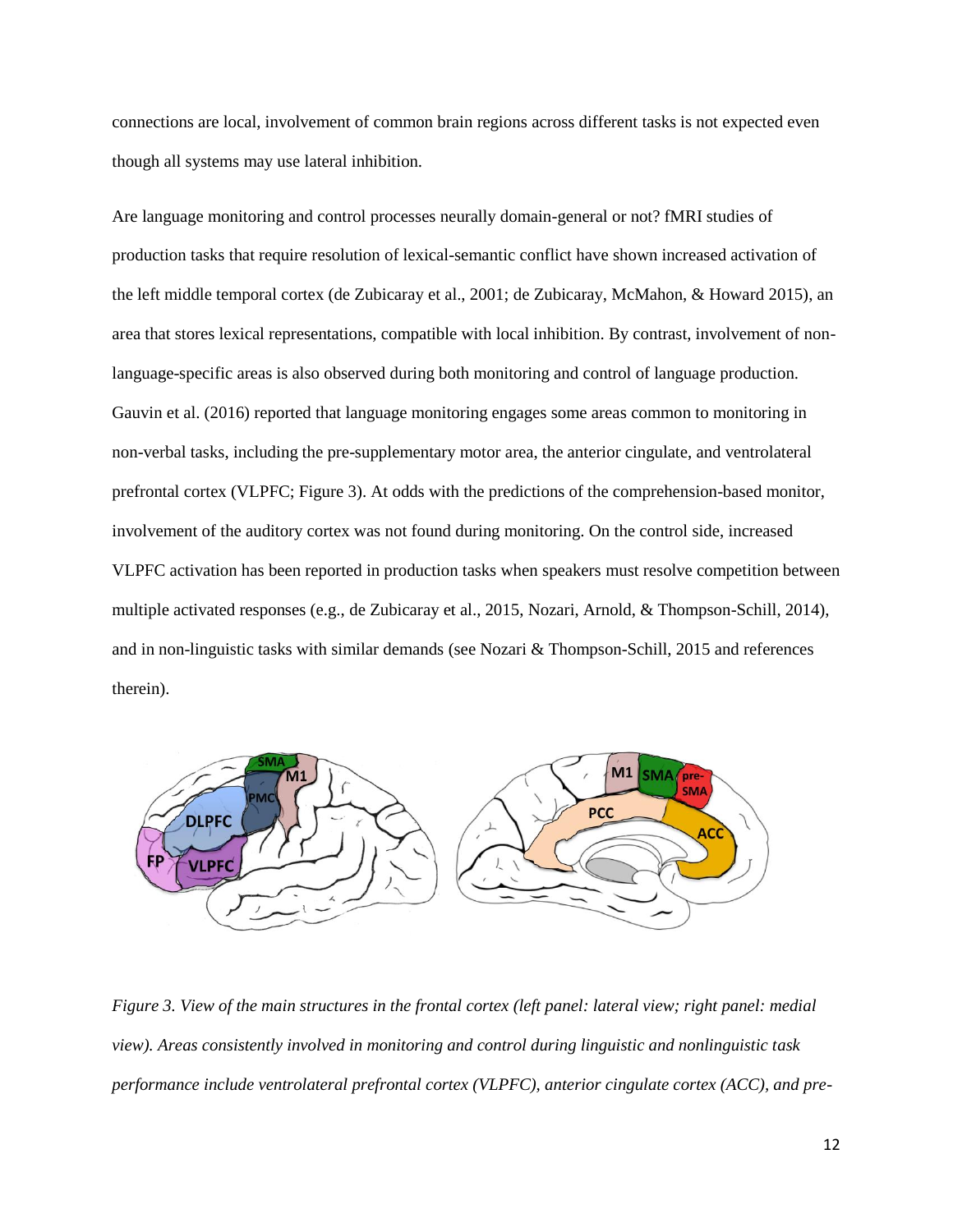connections are local, involvement of common brain regions across different tasks is not expected even though all systems may use lateral inhibition.

Are language monitoring and control processes neurally domain-general or not? fMRI studies of production tasks that require resolution of lexical-semantic conflict have shown increased activation of the left middle temporal cortex (de Zubicaray et al., 2001; de Zubicaray, McMahon, & Howard 2015), an area that stores lexical representations, compatible with local inhibition. By contrast, involvement of nonlanguage-specific areas is also observed during both monitoring and control of language production. Gauvin et al. (2016) reported that language monitoring engages some areas common to monitoring in non-verbal tasks, including the pre-supplementary motor area, the anterior cingulate, and ventrolateral prefrontal cortex (VLPFC; Figure 3). At odds with the predictions of the comprehension-based monitor, involvement of the auditory cortex was not found during monitoring. On the control side, increased VLPFC activation has been reported in production tasks when speakers must resolve competition between multiple activated responses (e.g., de Zubicaray et al., 2015, Nozari, Arnold, & Thompson-Schill, 2014), and in non-linguistic tasks with similar demands (see Nozari & Thompson-Schill, 2015 and references therein).



*Figure 3. View of the main structures in the frontal cortex (left panel: lateral view; right panel: medial view). Areas consistently involved in monitoring and control during linguistic and nonlinguistic task performance include ventrolateral prefrontal cortex (VLPFC), anterior cingulate cortex (ACC), and pre-*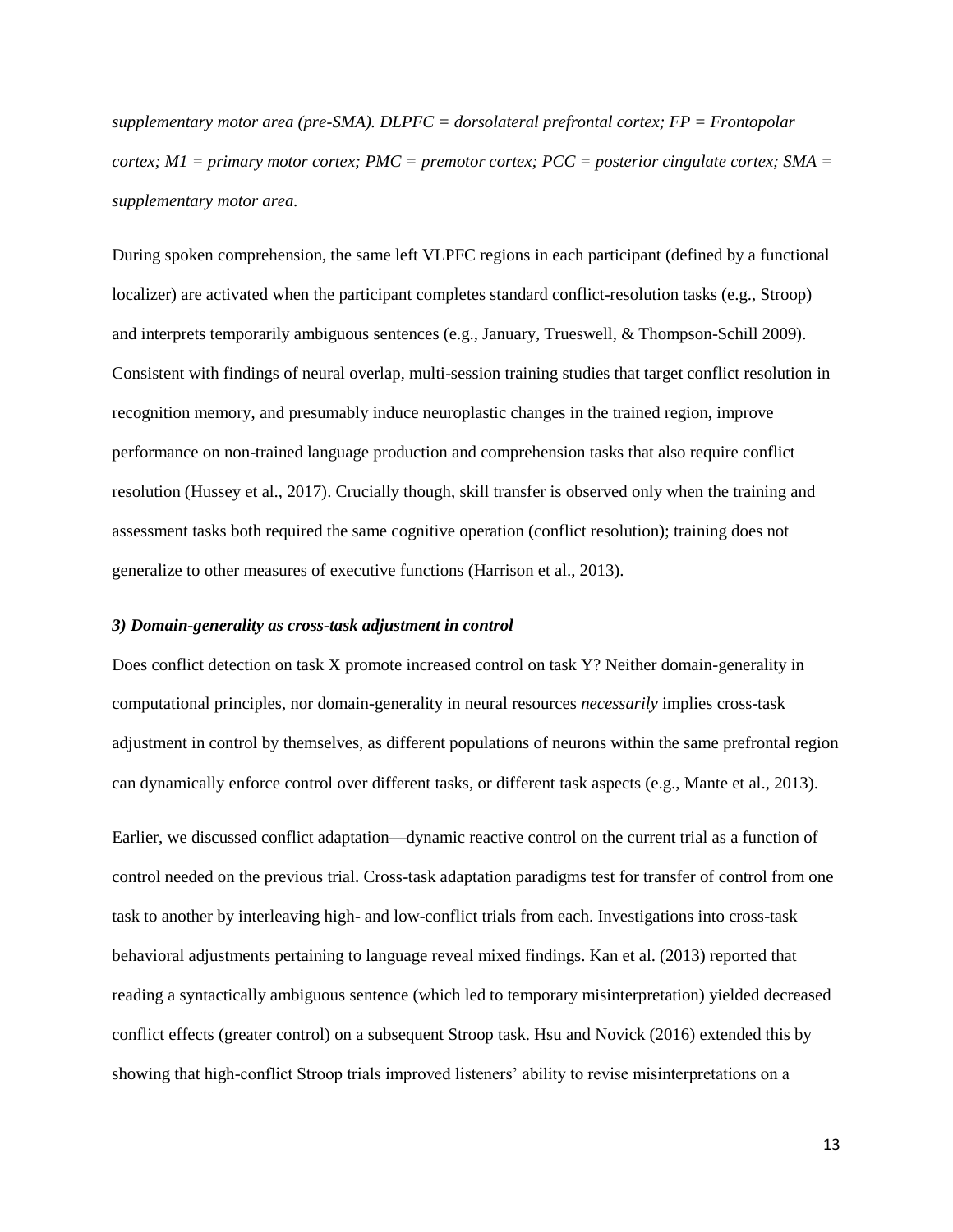*supplementary motor area (pre-SMA). DLPFC = dorsolateral prefrontal cortex; FP = Frontopolar cortex; M1 = primary motor cortex; PMC = premotor cortex; PCC = posterior cingulate cortex; SMA = supplementary motor area.*

During spoken comprehension, the same left VLPFC regions in each participant (defined by a functional localizer) are activated when the participant completes standard conflict-resolution tasks (e.g., Stroop) and interprets temporarily ambiguous sentences (e.g., January, Trueswell, & Thompson-Schill 2009). Consistent with findings of neural overlap, multi-session training studies that target conflict resolution in recognition memory, and presumably induce neuroplastic changes in the trained region, improve performance on non-trained language production and comprehension tasks that also require conflict resolution (Hussey et al., 2017). Crucially though, skill transfer is observed only when the training and assessment tasks both required the same cognitive operation (conflict resolution); training does not generalize to other measures of executive functions (Harrison et al., 2013).

#### *3) Domain-generality as cross-task adjustment in control*

Does conflict detection on task X promote increased control on task Y? Neither domain-generality in computational principles, nor domain-generality in neural resources *necessarily* implies cross-task adjustment in control by themselves, as different populations of neurons within the same prefrontal region can dynamically enforce control over different tasks, or different task aspects (e.g., Mante et al., 2013).

Earlier, we discussed conflict adaptation—dynamic reactive control on the current trial as a function of control needed on the previous trial. Cross-task adaptation paradigms test for transfer of control from one task to another by interleaving high- and low-conflict trials from each. Investigations into cross-task behavioral adjustments pertaining to language reveal mixed findings. Kan et al. (2013) reported that reading a syntactically ambiguous sentence (which led to temporary misinterpretation) yielded decreased conflict effects (greater control) on a subsequent Stroop task. Hsu and Novick (2016) extended this by showing that high-conflict Stroop trials improved listeners' ability to revise misinterpretations on a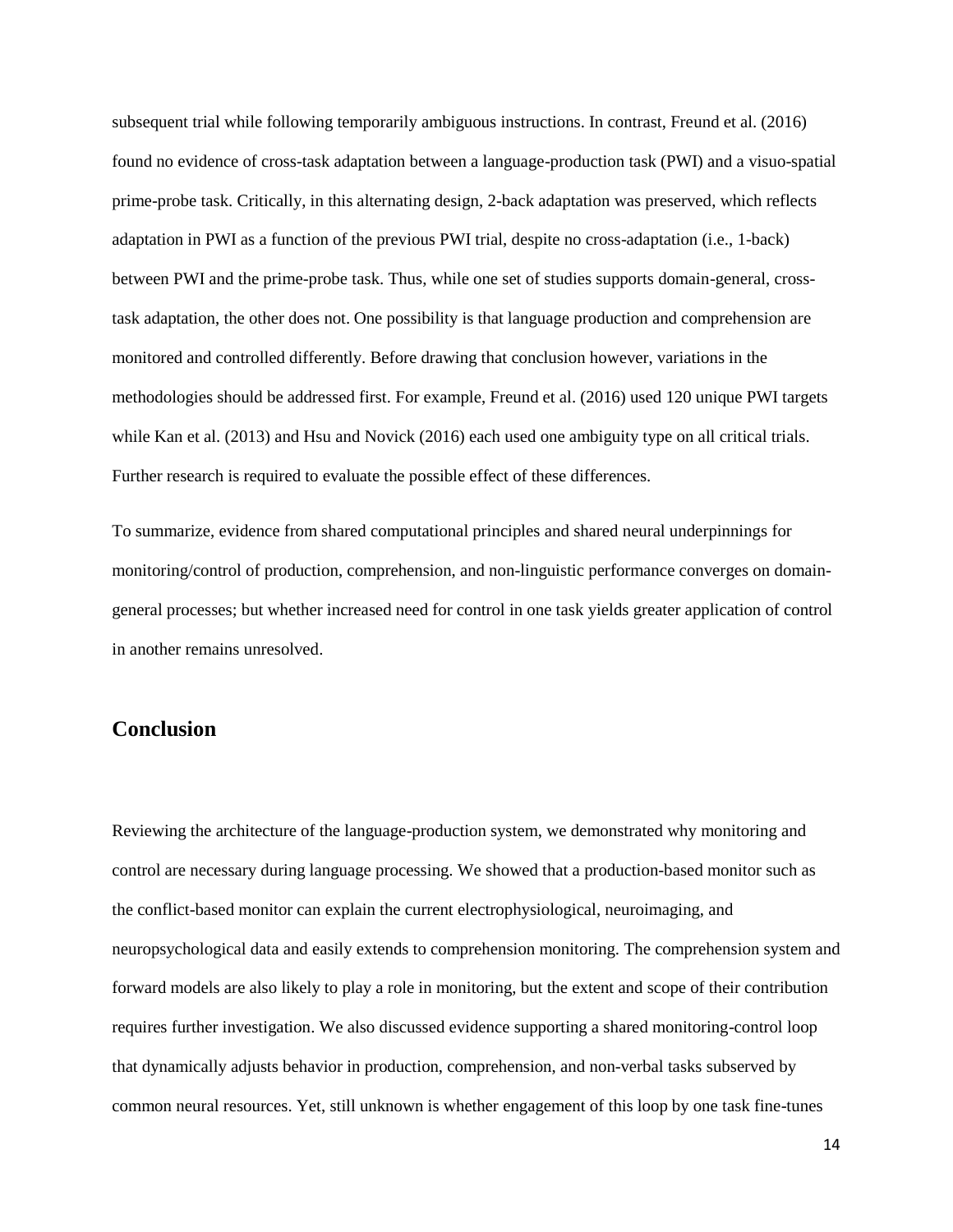subsequent trial while following temporarily ambiguous instructions. In contrast, Freund et al. (2016) found no evidence of cross-task adaptation between a language-production task (PWI) and a visuo-spatial prime-probe task. Critically, in this alternating design, 2-back adaptation was preserved, which reflects adaptation in PWI as a function of the previous PWI trial, despite no cross-adaptation (i.e., 1-back) between PWI and the prime-probe task. Thus, while one set of studies supports domain-general, crosstask adaptation, the other does not. One possibility is that language production and comprehension are monitored and controlled differently. Before drawing that conclusion however, variations in the methodologies should be addressed first. For example, Freund et al. (2016) used 120 unique PWI targets while Kan et al. (2013) and Hsu and Novick (2016) each used one ambiguity type on all critical trials. Further research is required to evaluate the possible effect of these differences.

To summarize, evidence from shared computational principles and shared neural underpinnings for monitoring/control of production, comprehension, and non-linguistic performance converges on domaingeneral processes; but whether increased need for control in one task yields greater application of control in another remains unresolved.

## **Conclusion**

Reviewing the architecture of the language-production system, we demonstrated why monitoring and control are necessary during language processing. We showed that a production-based monitor such as the conflict-based monitor can explain the current electrophysiological, neuroimaging, and neuropsychological data and easily extends to comprehension monitoring. The comprehension system and forward models are also likely to play a role in monitoring, but the extent and scope of their contribution requires further investigation. We also discussed evidence supporting a shared monitoring-control loop that dynamically adjusts behavior in production, comprehension, and non-verbal tasks subserved by common neural resources. Yet, still unknown is whether engagement of this loop by one task fine-tunes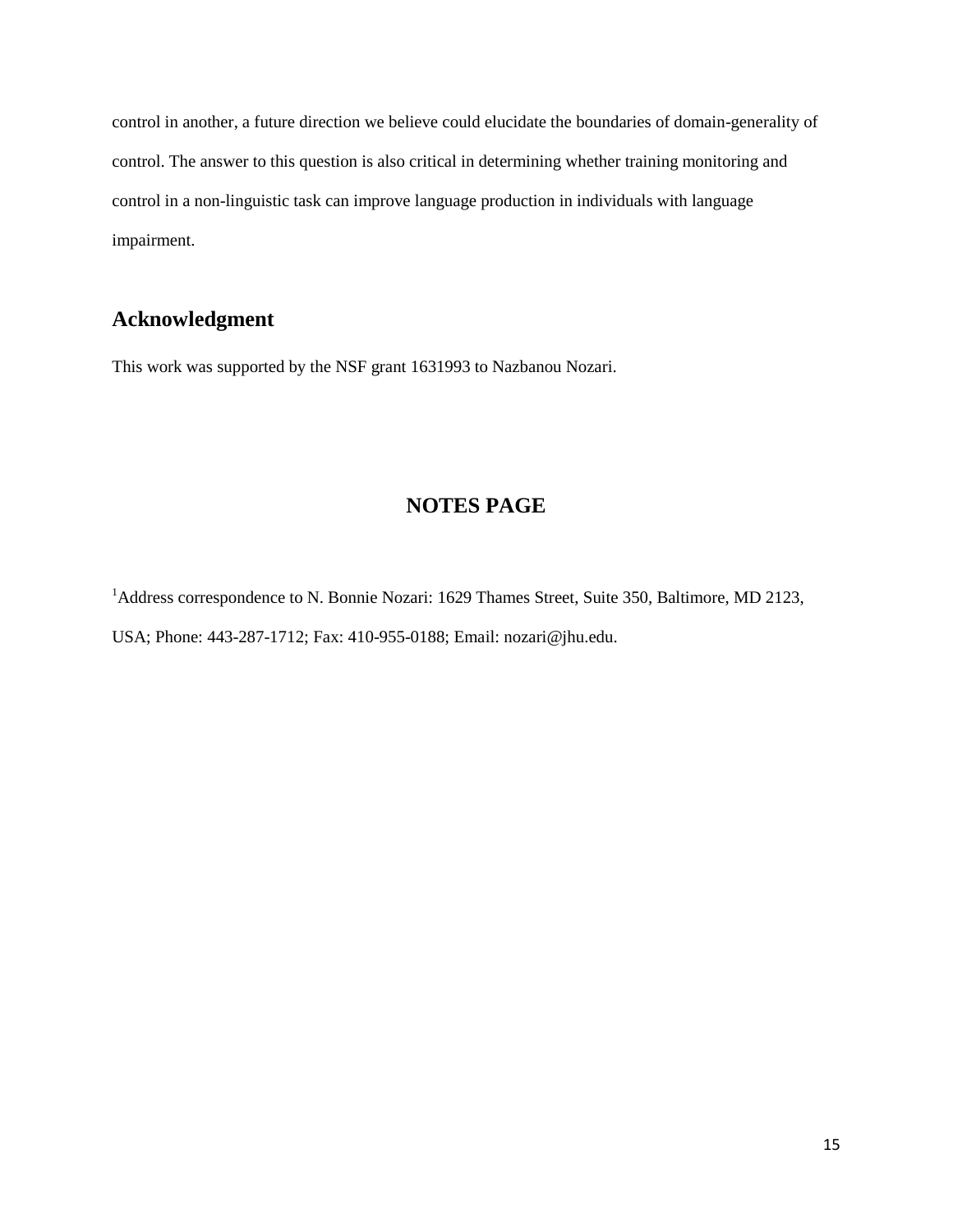control in another, a future direction we believe could elucidate the boundaries of domain-generality of control. The answer to this question is also critical in determining whether training monitoring and control in a non-linguistic task can improve language production in individuals with language impairment.

# **Acknowledgment**

This work was supported by the NSF grant 1631993 to Nazbanou Nozari.

# **NOTES PAGE**

<sup>1</sup>Address correspondence to N. Bonnie Nozari: 1629 Thames Street, Suite 350, Baltimore, MD 2123, USA; Phone: 443-287-1712; Fax: 410-955-0188; Email: nozari@jhu.edu.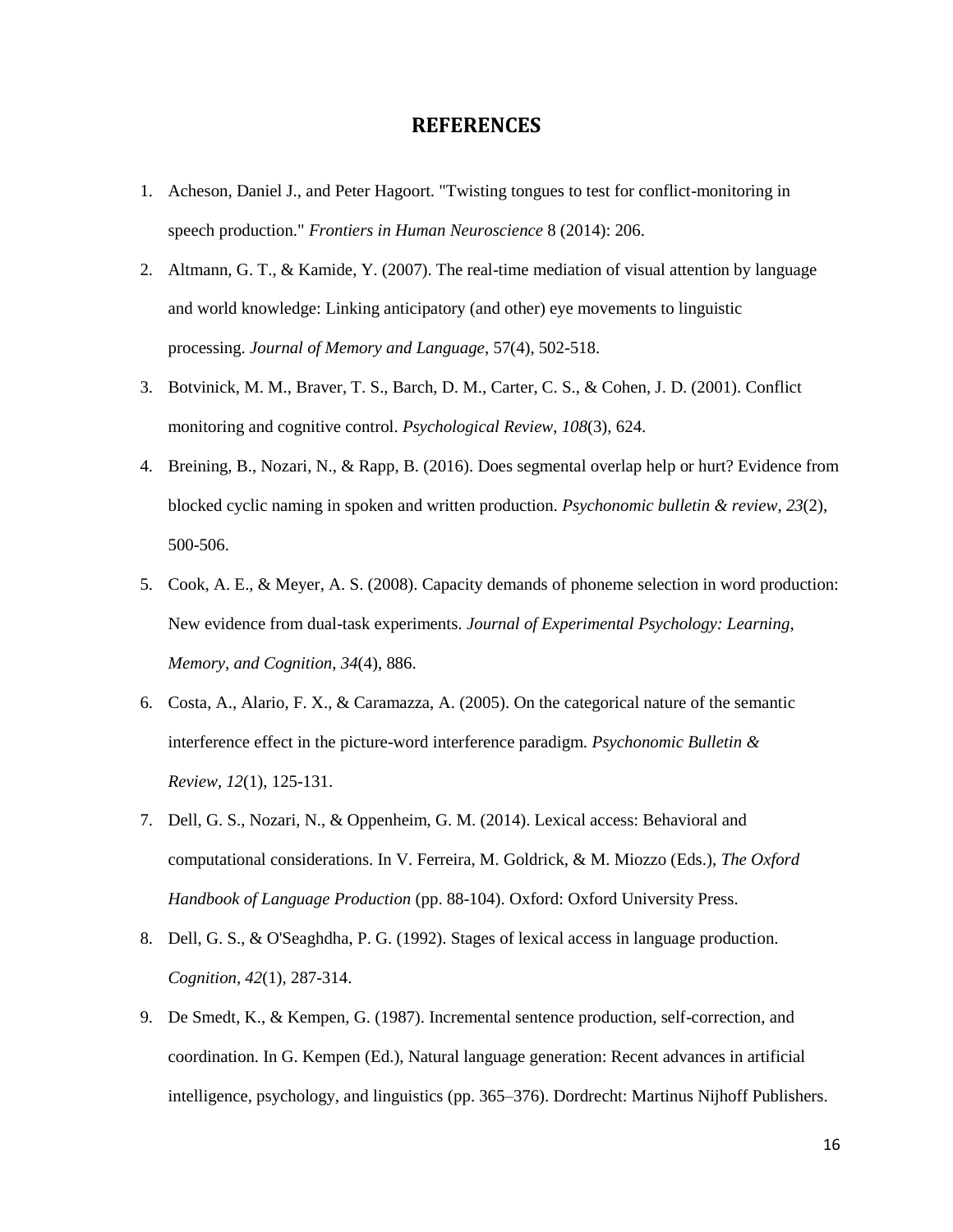### **REFERENCES**

- 1. Acheson, Daniel J., and Peter Hagoort. "Twisting tongues to test for conflict-monitoring in speech production." *Frontiers in Human Neuroscience* 8 (2014): 206.
- 2. Altmann, G. T., & Kamide, Y. (2007). The real-time mediation of visual attention by language and world knowledge: Linking anticipatory (and other) eye movements to linguistic processing. *Journal of Memory and Language*, 57(4), 502-518.
- 3. Botvinick, M. M., Braver, T. S., Barch, D. M., Carter, C. S., & Cohen, J. D. (2001). Conflict monitoring and cognitive control. *Psychological Review*, *108*(3), 624.
- 4. Breining, B., Nozari, N., & Rapp, B. (2016). Does segmental overlap help or hurt? Evidence from blocked cyclic naming in spoken and written production. *Psychonomic bulletin & review*, *23*(2), 500-506.
- 5. Cook, A. E., & Meyer, A. S. (2008). Capacity demands of phoneme selection in word production: New evidence from dual-task experiments. *Journal of Experimental Psychology: Learning, Memory, and Cognition*, *34*(4), 886.
- 6. Costa, A., Alario, F. X., & Caramazza, A. (2005). On the categorical nature of the semantic interference effect in the picture-word interference paradigm. *Psychonomic Bulletin & Review*, *12*(1), 125-131.
- 7. Dell, G. S., Nozari, N., & Oppenheim, G. M. (2014). Lexical access: Behavioral and computational considerations. In V. Ferreira, M. Goldrick, & M. Miozzo (Eds.), *The Oxford Handbook of Language Production* (pp. 88-104). Oxford: Oxford University Press.
- 8. Dell, G. S., & O'Seaghdha, P. G. (1992). Stages of lexical access in language production. *Cognition, 42*(1), 287-314.
- 9. De Smedt, K., & Kempen, G. (1987). Incremental sentence production, self-correction, and coordination. In G. Kempen (Ed.), Natural language generation: Recent advances in artificial intelligence, psychology, and linguistics (pp. 365–376). Dordrecht: Martinus Nijhoff Publishers.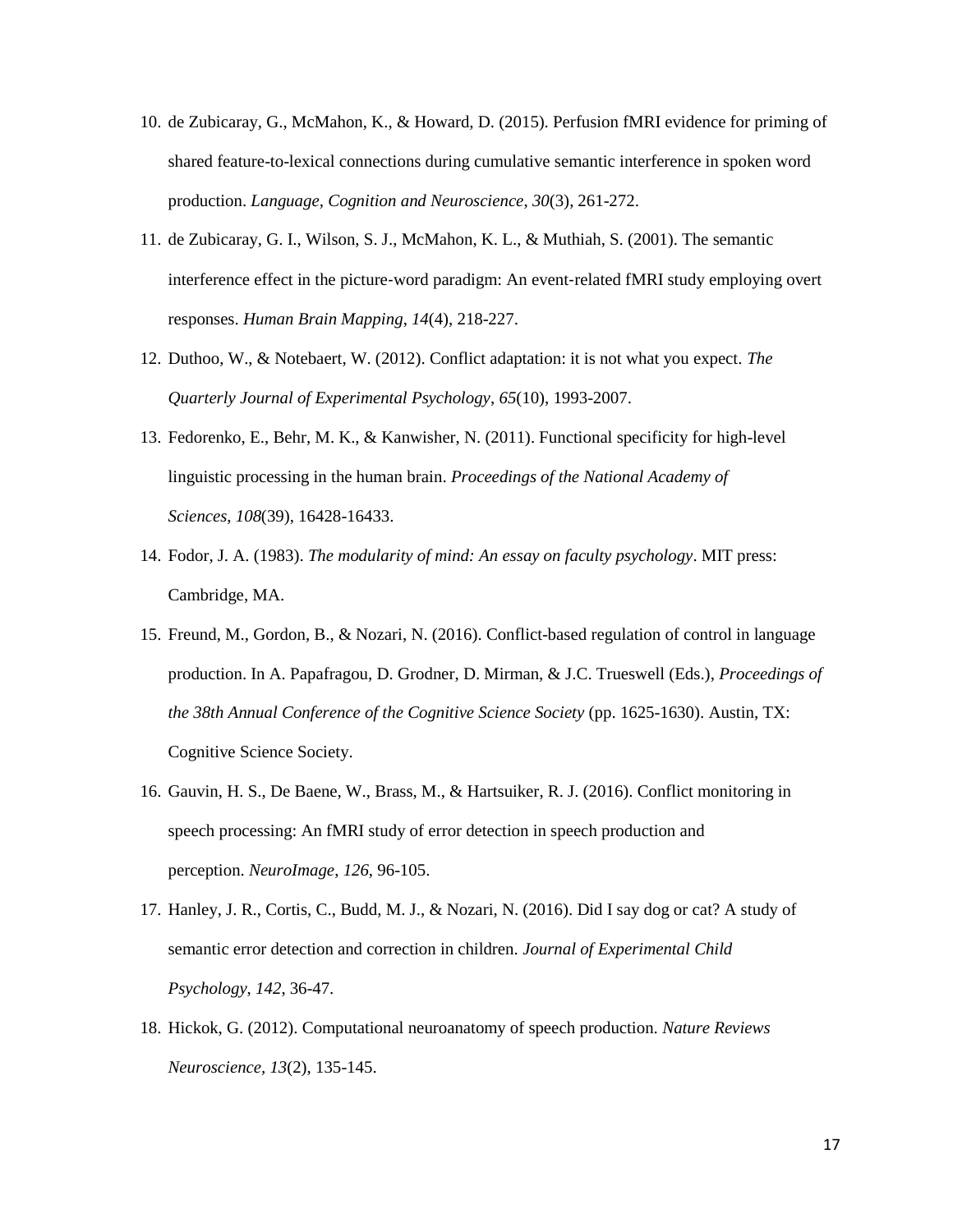- 10. de Zubicaray, G., McMahon, K., & Howard, D. (2015). Perfusion fMRI evidence for priming of shared feature-to-lexical connections during cumulative semantic interference in spoken word production. *Language, Cognition and Neuroscience*, *30*(3), 261-272.
- 11. de Zubicaray, G. I., Wilson, S. J., McMahon, K. L., & Muthiah, S. (2001). The semantic interference effect in the picture-word paradigm: An event-related fMRI study employing overt responses. *Human Brain Mapping*, *14*(4), 218-227.
- 12. Duthoo, W., & Notebaert, W. (2012). Conflict adaptation: it is not what you expect. *The Quarterly Journal of Experimental Psychology*, *65*(10), 1993-2007.
- 13. Fedorenko, E., Behr, M. K., & Kanwisher, N. (2011). Functional specificity for high-level linguistic processing in the human brain. *Proceedings of the National Academy of Sciences*, *108*(39), 16428-16433.
- 14. Fodor, J. A. (1983). *The modularity of mind: An essay on faculty psychology*. MIT press: Cambridge, MA.
- 15. Freund, M., Gordon, B., & Nozari, N. (2016). Conflict-based regulation of control in language production. In A. Papafragou, D. Grodner, D. Mirman, & J.C. Trueswell (Eds.), *Proceedings of the 38th Annual Conference of the Cognitive Science Society* (pp. 1625-1630). Austin, TX: Cognitive Science Society.
- 16. Gauvin, H. S., De Baene, W., Brass, M., & Hartsuiker, R. J. (2016). Conflict monitoring in speech processing: An fMRI study of error detection in speech production and perception. *NeuroImage*, *126*, 96-105.
- 17. Hanley, J. R., Cortis, C., Budd, M. J., & Nozari, N. (2016). Did I say dog or cat? A study of semantic error detection and correction in children. *Journal of Experimental Child Psychology*, *142*, 36-47.
- 18. Hickok, G. (2012). Computational neuroanatomy of speech production. *Nature Reviews Neuroscience, 13*(2), 135-145.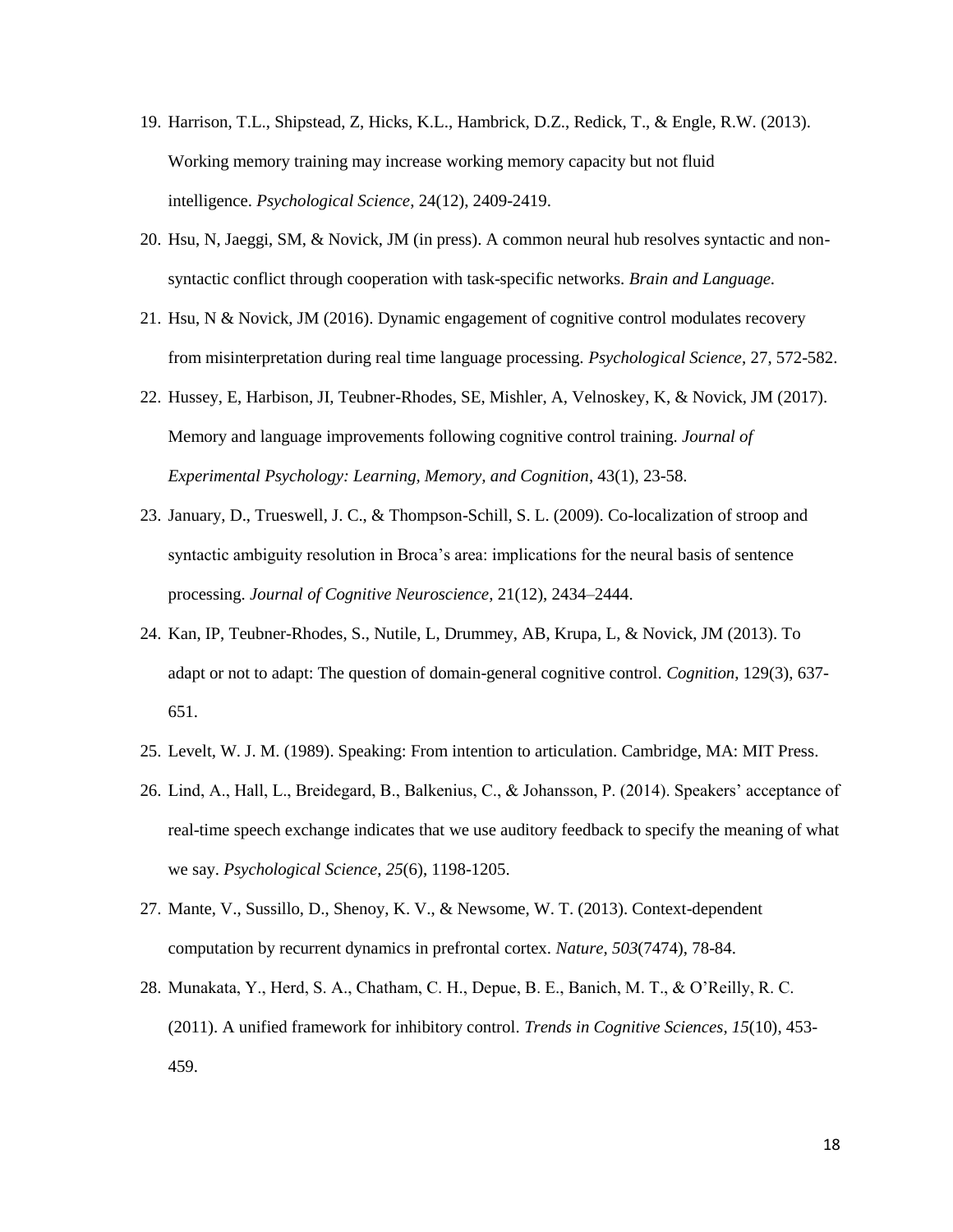- 19. Harrison, T.L., Shipstead, Z, Hicks, K.L., Hambrick, D.Z., Redick, T., & Engle, R.W. (2013). Working memory training may increase working memory capacity but not fluid intelligence. *Psychological Science*, 24(12), 2409-2419.
- 20. Hsu, N, Jaeggi, SM, & Novick, JM (in press). A common neural hub resolves syntactic and nonsyntactic conflict through cooperation with task-specific networks. *Brain and Language.*
- 21. Hsu, N & Novick, JM (2016). Dynamic engagement of cognitive control modulates recovery from misinterpretation during real time language processing. *Psychological Science*, 27, 572-582.
- 22. Hussey, E, Harbison, JI, Teubner-Rhodes, SE, Mishler, A, Velnoskey, K, & Novick, JM (2017). Memory and language improvements following cognitive control training. *Journal of Experimental Psychology: Learning, Memory, and Cognition*, 43(1), 23-58.
- 23. January, D., Trueswell, J. C., & Thompson-Schill, S. L. (2009). Co-localization of stroop and syntactic ambiguity resolution in Broca's area: implications for the neural basis of sentence processing. *Journal of Cognitive Neuroscience*, 21(12), 2434–2444.
- 24. Kan, IP, Teubner-Rhodes, S., Nutile, L, Drummey, AB, Krupa, L, & Novick, JM (2013). To adapt or not to adapt: The question of domain-general cognitive control. *Cognition*, 129(3), 637- 651.
- 25. Levelt, W. J. M. (1989). Speaking: From intention to articulation. Cambridge, MA: MIT Press.
- 26. Lind, A., Hall, L., Breidegard, B., Balkenius, C., & Johansson, P. (2014). Speakers' acceptance of real-time speech exchange indicates that we use auditory feedback to specify the meaning of what we say. *Psychological Science*, *25*(6), 1198-1205.
- 27. Mante, V., Sussillo, D., Shenoy, K. V., & Newsome, W. T. (2013). Context-dependent computation by recurrent dynamics in prefrontal cortex. *Nature*, *503*(7474), 78-84.
- 28. Munakata, Y., Herd, S. A., Chatham, C. H., Depue, B. E., Banich, M. T., & O'Reilly, R. C. (2011). A unified framework for inhibitory control. *Trends in Cognitive Sciences*, *15*(10), 453- 459.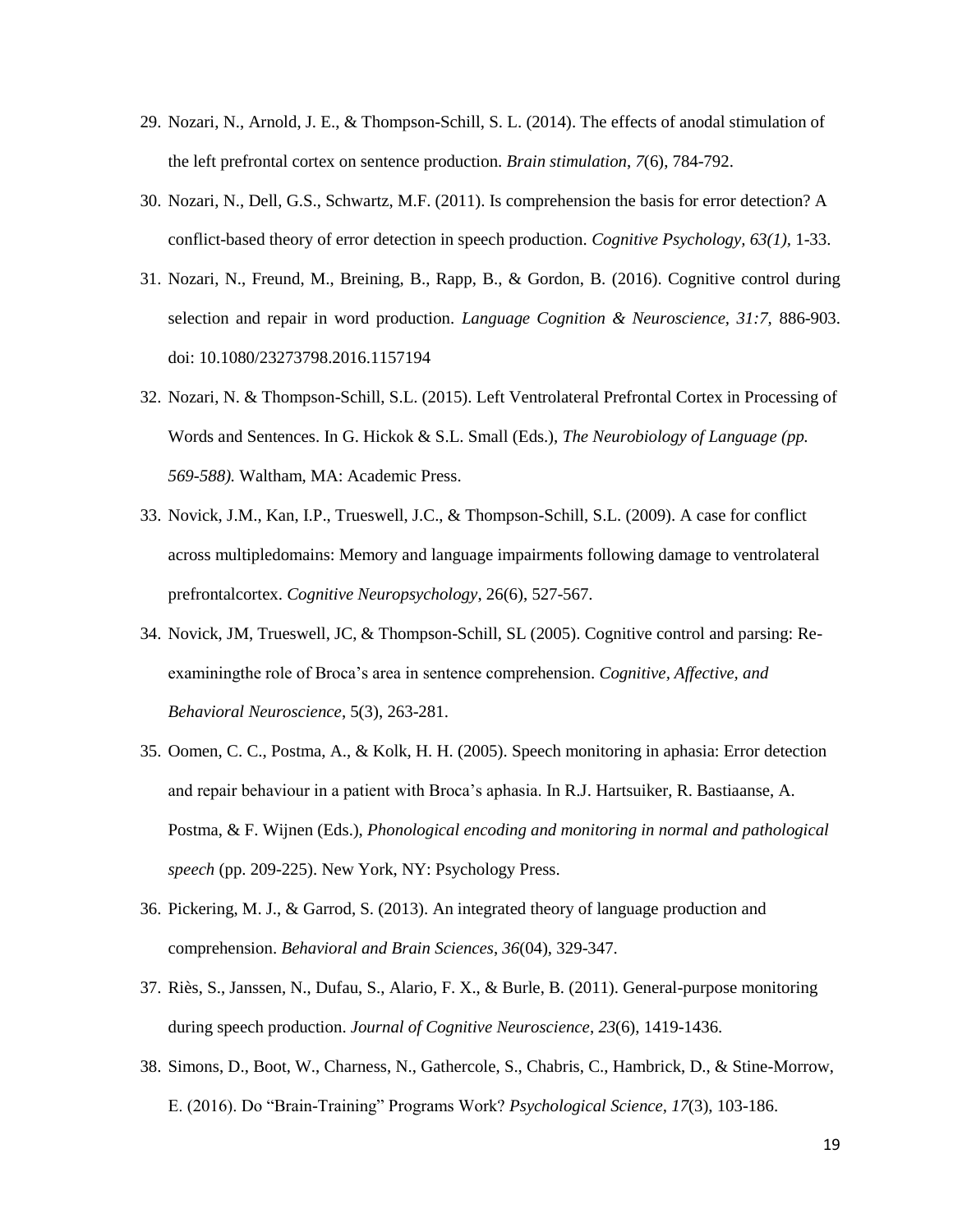- 29. Nozari, N., Arnold, J. E., & Thompson-Schill, S. L. (2014). The effects of anodal stimulation of the left prefrontal cortex on sentence production. *Brain stimulation*, *7*(6), 784-792.
- 30. Nozari, N., Dell, G.S., Schwartz, M.F. (2011). Is comprehension the basis for error detection? A conflict-based theory of error detection in speech production. *Cognitive Psychology, 63(1),* 1-33.
- 31. Nozari, N., Freund, M., Breining, B., Rapp, B., & Gordon, B. (2016). Cognitive control during selection and repair in word production. *Language Cognition & Neuroscience, 31:7,* 886-903. doi: 10.1080/23273798.2016.1157194
- 32. Nozari, N. & Thompson-Schill, S.L. (2015). Left Ventrolateral Prefrontal Cortex in Processing of Words and Sentences. In G. Hickok & S.L. Small (Eds.), *The Neurobiology of Language (pp. 569-588).* Waltham, MA: Academic Press.
- 33. Novick, J.M., Kan, I.P., Trueswell, J.C., & Thompson-Schill, S.L. (2009). A case for conflict across multipledomains: Memory and language impairments following damage to ventrolateral prefrontalcortex. *Cognitive Neuropsychology*, 26(6), 527-567.
- 34. Novick, JM, Trueswell, JC, & Thompson-Schill, SL (2005). Cognitive control and parsing: Reexaminingthe role of Broca's area in sentence comprehension. *Cognitive, Affective, and Behavioral Neuroscience*, 5(3), 263-281.
- 35. Oomen, C. C., Postma, A., & Kolk, H. H. (2005). Speech monitoring in aphasia: Error detection and repair behaviour in a patient with Broca's aphasia. In R.J. Hartsuiker, R. Bastiaanse, A. Postma, & F. Wijnen (Eds.), *Phonological encoding and monitoring in normal and pathological speech* (pp. 209-225). New York, NY: Psychology Press.
- 36. Pickering, M. J., & Garrod, S. (2013). An integrated theory of language production and comprehension. *Behavioral and Brain Sciences*, *36*(04), 329-347.
- 37. Riès, S., Janssen, N., Dufau, S., Alario, F. X., & Burle, B. (2011). General-purpose monitoring during speech production. *Journal of Cognitive Neuroscience*, *23*(6), 1419-1436.
- 38. Simons, D., Boot, W., Charness, N., Gathercole, S., Chabris, C., Hambrick, D., & Stine-Morrow, E. (2016). Do "Brain-Training" Programs Work? *Psychological Science, 17*(3), 103-186.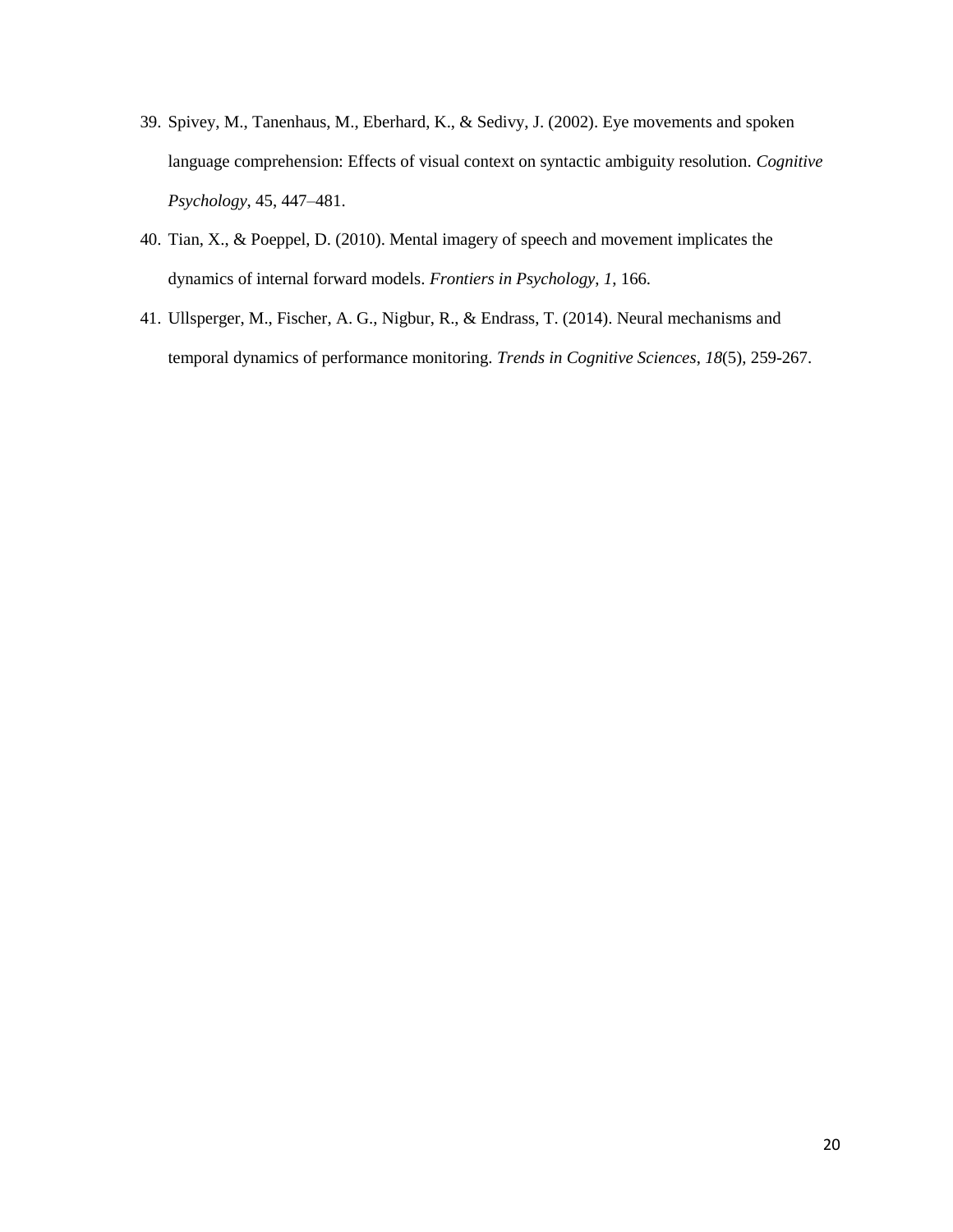- 39. Spivey, M., Tanenhaus, M., Eberhard, K., & Sedivy, J. (2002). Eye movements and spoken language comprehension: Effects of visual context on syntactic ambiguity resolution. *Cognitive Psychology*, 45, 447–481.
- 40. Tian, X., & Poeppel, D. (2010). Mental imagery of speech and movement implicates the dynamics of internal forward models. *Frontiers in Psychology*, *1*, 166.
- 41. Ullsperger, M., Fischer, A. G., Nigbur, R., & Endrass, T. (2014). Neural mechanisms and temporal dynamics of performance monitoring. *Trends in Cognitive Sciences*, *18*(5), 259-267.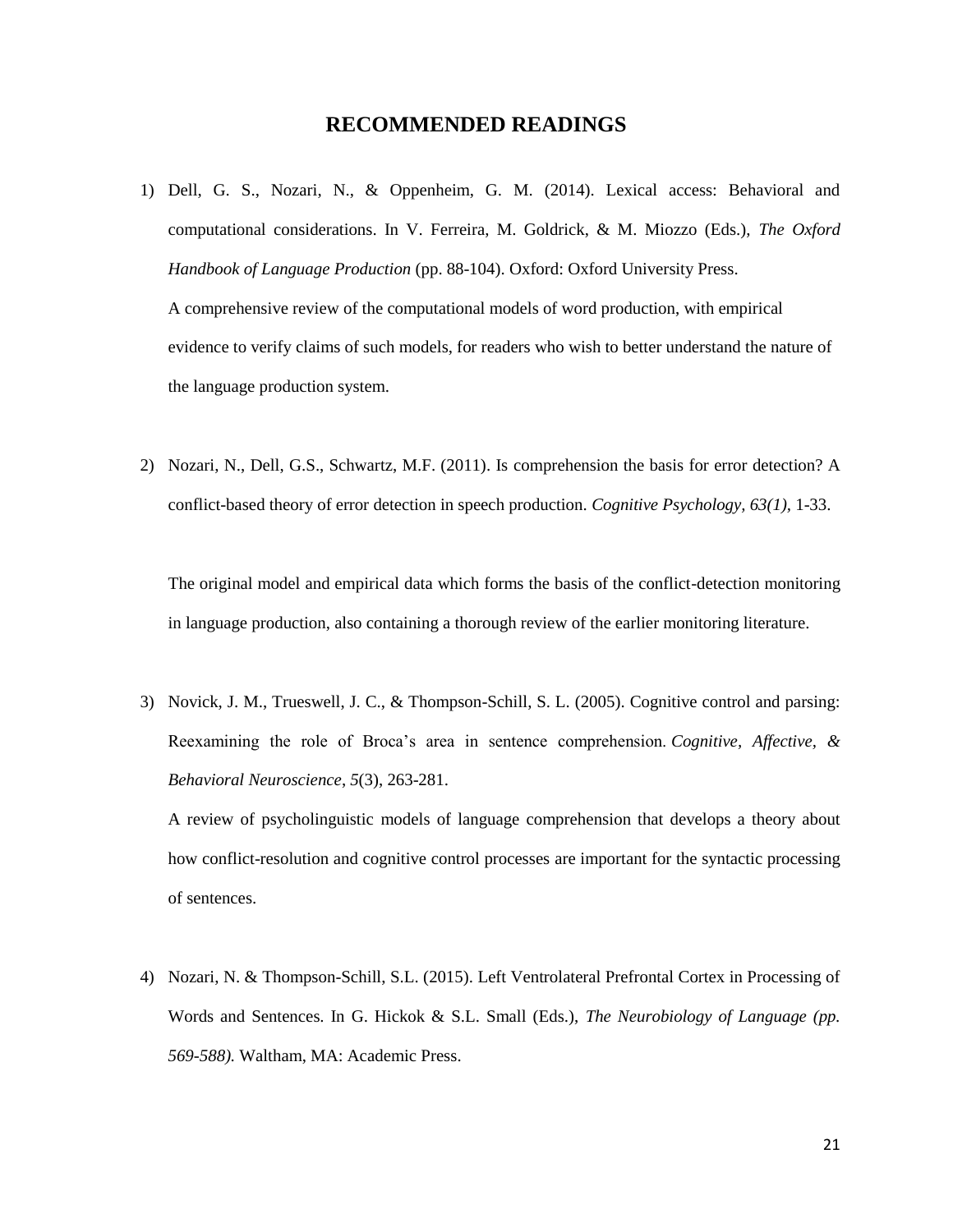### **RECOMMENDED READINGS**

- 1) Dell, G. S., Nozari, N., & Oppenheim, G. M. (2014). Lexical access: Behavioral and computational considerations. In V. Ferreira, M. Goldrick, & M. Miozzo (Eds.), *The Oxford Handbook of Language Production* (pp. 88-104). Oxford: Oxford University Press. A comprehensive review of the computational models of word production, with empirical evidence to verify claims of such models, for readers who wish to better understand the nature of the language production system.
- 2) Nozari, N., Dell, G.S., Schwartz, M.F. (2011). Is comprehension the basis for error detection? A conflict-based theory of error detection in speech production. *Cognitive Psychology, 63(1),* 1-33.

The original model and empirical data which forms the basis of the conflict-detection monitoring in language production, also containing a thorough review of the earlier monitoring literature.

3) Novick, J. M., Trueswell, J. C., & Thompson-Schill, S. L. (2005). Cognitive control and parsing: Reexamining the role of Broca's area in sentence comprehension. *Cognitive, Affective, & Behavioral Neuroscience*, *5*(3), 263-281.

A review of psycholinguistic models of language comprehension that develops a theory about how conflict-resolution and cognitive control processes are important for the syntactic processing of sentences.

4) Nozari, N. & Thompson-Schill, S.L. (2015). Left Ventrolateral Prefrontal Cortex in Processing of Words and Sentences. In G. Hickok & S.L. Small (Eds.), *The Neurobiology of Language (pp. 569-588).* Waltham, MA: Academic Press.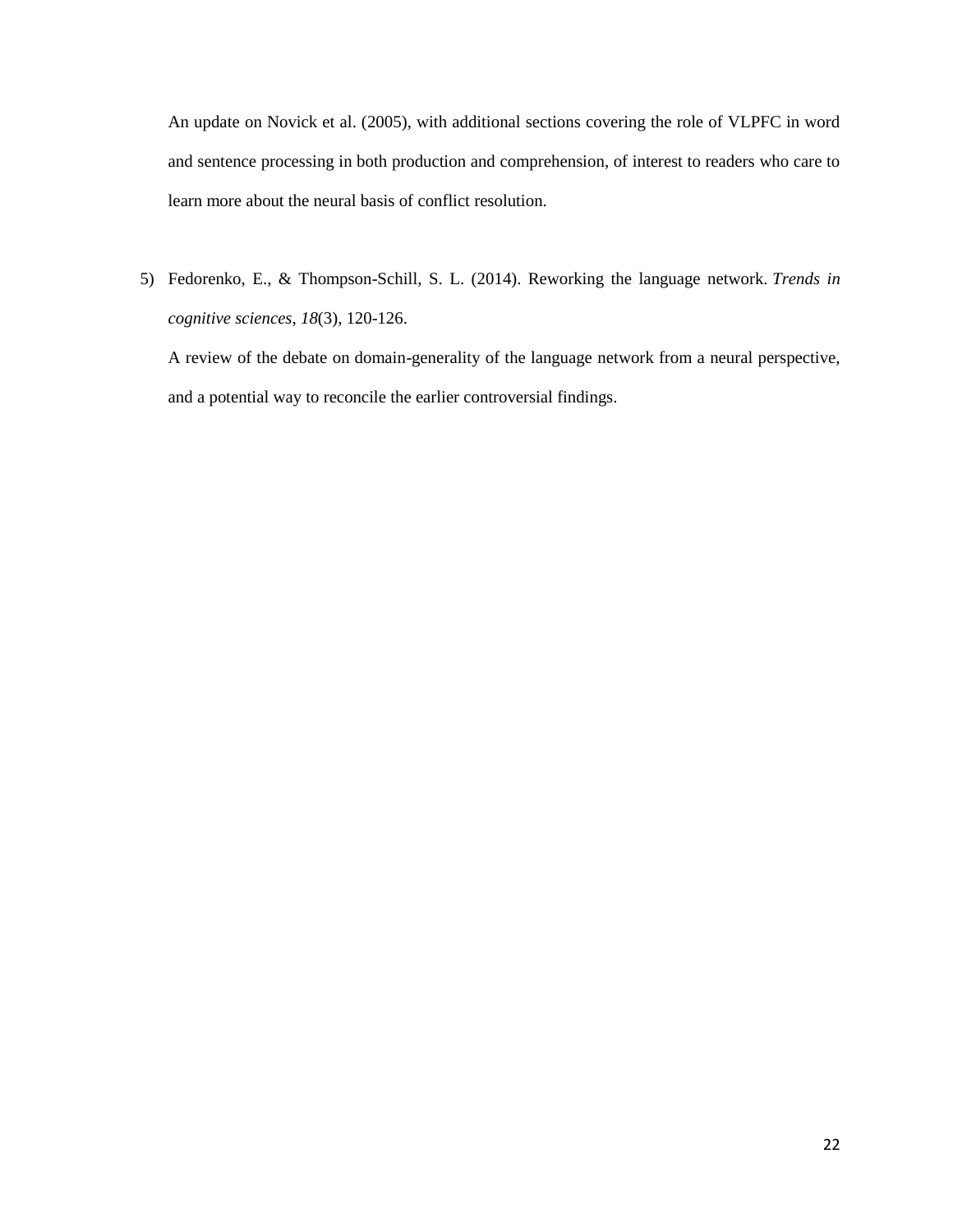An update on Novick et al. (2005), with additional sections covering the role of VLPFC in word and sentence processing in both production and comprehension, of interest to readers who care to learn more about the neural basis of conflict resolution.

5) Fedorenko, E., & Thompson-Schill, S. L. (2014). Reworking the language network. *Trends in cognitive sciences*, *18*(3), 120-126.

A review of the debate on domain-generality of the language network from a neural perspective, and a potential way to reconcile the earlier controversial findings.